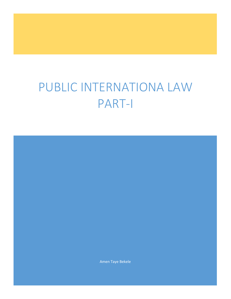# PUBLIC INTERNATIONA LAW PART-I

Amen Taye Bekele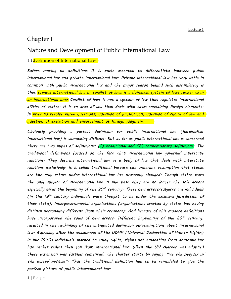# Chapter I

# Nature and Development of Public International Law

# 1.1. Definition of International Law

*Before moving to definitions it is quite essential to differentiate between public international law and private international law. Private international law has very little in common with public international law and the major reason behind such dissimilarity is that private international law or conflict of laws is a domestic system of laws rather than an international one. Conflict of laws is not a system of law that regulates international affairs of states. It is an area of law that deals with cases containing foreign elements. It tries to resolve three questions; question of jurisdiction, question of choice of law and question of execution and enforcement of foreign judgment.* 

*Obviously providing a perfect definition for public international law (hereinafter International law) is something difficult. But as far as public international law is concerned there are two types of definitions; (1) traditional and (2) contemporary definitions. The traditional definitions focused on the fact that international law governed interstate relations. They describe international law as a body of law that deals with interstate relations exclusively. It is called traditional because the underline assumption that states are the only actors under international law has presently changed. Though states were the only subject of international law in the past they are no longer the sole actors especially after the beginning of the 20th century. These new actors/subjects are individuals (in the 19 th century individuals were thought to be under the exclusive jurisdiction of their state), intergovernmental organizations (organizations created by states but having distinct personality different from their creators). And because of this modern definitions have incorporated the roles of new actors. Different happenings of the 20th century, resulted in the rethinking of the antiquated definition of/assumptions about international law. Especially after the enactment of the UDHR (Universal Declaration of Human Rights) in the 1940s individuals started to enjoy rights, rights not emanating from domestic law but rather rights they got from international law. When the UN charter was adopted these expansion was further cemented, the charter starts by saying "we the peoples of the united nations". Thus the traditional definition had to be remodeled to give the perfect picture of public international law.*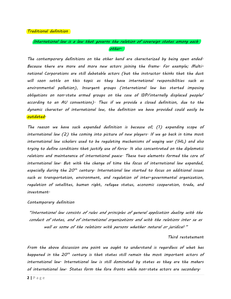### *Traditional definition*

# *International law is a law that governs the relation of sovereign states among each other.*

*The contemporary definitions on the other hand are characterized by being open ended. Because there are more and more new actors joining the frame. For example; Multinational Corporations are still debatable actors (but the instructor thinks that the dust will soon settle on this topic as they have international responsibilities such as environmental pollution), Insurgent groups (international law has started imposing obligations on non-state armed groups on the case of IDP/internally displaced people/ according to an AU conventions). Thus if we provide a closed definition, due to the dynamic character of international law, the definition we have provided could easily be outdated.* 

*The reason we have such expanded definition is because of; (1) expanding scope of international law (2) the coming into picture of new players. If we go back in time most international law scholars used to be regulating mechanisms of waging war (IHL) and also trying to define conditions that justify use of force. It also concentrated on the diplomatic relations and maintenance of international peace. These two elements formed the core of international law. But with the change of time the focus of international law expanded, especially during the 20th century. International law started to focus on additional issues such as transportation, environment, and regulation of inter-governmental organization, regulation of satellites, human right, refugee status, economic cooperation, trade, and investment.* 

### *Contemporary definition*

*"International law consists of rules and principles of general application dealing with the conduct of states, and of international organizations and with the relations inter se as well as some of the relations with persons whether natural or juridical."*

### *Third restatement*

*From the above discussion one point we ought to understand is regardless of what has happened in the 20th century is that states still remain the most important actors of international law. International law is still dominated by states as they are the makers of international law. States form the fore fronts while non-state actors are secondary.*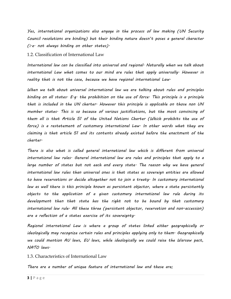*Yes, international organizations also engage in the process of law making (UN Security Council resolutions are binding) but their binding nature doesn't poses a general character (i.e. not always binding on other states).* 

1.2. Classification of International Law

*International law can be classified into universal and regional. Naturally when we talk about international Law what comes to our mind are rules that apply universally. However in reality that is not the case, because we have regional international Law.* 

*When we talk about universal international law we are talking about rules and principles binding on all states. E.g. the prohibition on the use of force. This principle is a principle that is included in the UN charter. However this principle is applicable on those non UN member states. This is so because of various justifications, but the most convincing of them all is that Article 51 of the United Nations Charter (Which prohibits the use of force) is a restatement of customary international Law. In other words what they are claiming is that article 51 and its contents already existed before the enactment of the charter.*

*There is also what is called general international law which is different from universal international law rules. General international law are rules and principles that apply to a large number of states but not each and every state. The reason why we have general international law rules than universal ones is that states as sovereign entities are allowed to have reservations or decide altogether not to join a treaty. In customary international*  law as well there is this principle known as persistent objector, where a state persistently *objects to the application of a given customary international law rule during its development then that state has the right not to be bound by that customary international law rule. All these three (persistent objector, reservation and non-accession) are a reflection of a states exercise of its sovereignty.*

*Regional international Law is where a group of states linked either geographically or ideologically may recognize certain rules and principles applying only to them. Geographically we could mention AU laws, EU laws, while ideologically we could raise the Warsaw pact, NATO laws.* 

1.3. Characteristics of International Law

*There are a number of unique feature of international law and these are;*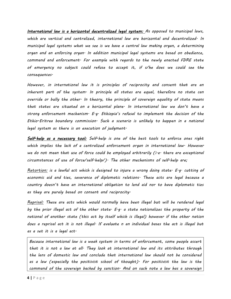*International law is a horizontal decentralized legal system: As opposed to municipal laws, which are vertical and centralized, international law are horizontal and decentralized. In municipal legal systems what we see is we have a central law making organ, a determining organ and an enforcing organ. In addition municipal legal systems are based on obedience, command and enforcement. For example with regards to the newly enacted FDRE state of emergency no subject could refuse to accept it, if s/he does we could see the consequences.*

*However, in international law it is principles of reciprocity and consent that are an inherent part of the system. In principle all states are equal, therefore no state can override or bully the other. In theory, the principle of sovereign equality of state means that states are situated on a horizontal plane. In international law we don't have a strong enforcement mechanism. E.g. Ethiopia's refusal to implement the decision of the Ethio-Eritrea boundary commission. Such a scenario is unlikely to happen in a national legal system as there is an execution of judgment.* 

*Self-help as a necessary tool: Self-help is one of the best tools to enforce ones right which implies the lack of a centralized enforcement organ in international law. However we do not mean that use of force could be employed arbitrarily (i.e. there are exceptional circumstances of use of force/self-help/). The other mechanisms of self-help are;*

*Retortion: is a lawful act which is designed to injure a wrong doing state. E.g. cutting of economic aid and ties, severance of diplomatic relations. These acts are legal because a country doesn't have an international obligation to lend aid nor to have diplomatic ties as they are purely based on consent and reciprocity.*

*Reprisal: These are acts which would normally have been illegal but will be rendered legal by the prior illegal act of the other state. E.g. a state nationalizes the property of the national of another state (this act by itself which is illegal) however if the other nation does a reprisal act it is not illegal. If evaluate n an individual bases the act is illegal but as a set it is a legal act.*

*Because international law is a weak system in terms of enforcement, some people assert that it is not a law at all. They look at international law and its attributes through the lens of domestic law and conclude that international law should not be considered as a law (especially the positivist school of thought). For positivist the law is the command of the sovereign backed by sanction. And on such note a law has a sovereign*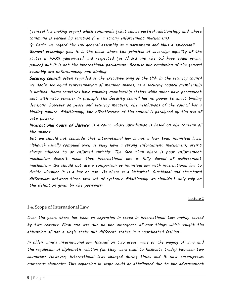*(central law making organ) which commands (that shows vertical relationship) and whose command is backed by sanction (i.e. a strong enforcement mechanism).*

*Q. Can't we regard the UN general assembly as a parliament and thus a sovereign? General assembly: yes, it is the place where the principle of sovereign equality of the states is 100% guaranteed and respected (as Nauru and the US have equal voting power) but it is not the international parliament. Because the resolution of the general assembly are unfortunately not binding.*

*Security council: often regarded as the executive wing of the UN. In the security council we don't see equal representation of member states, as a security council membership is limited. Some countries have rotating membership status while other have permanent seat with veto powers. In principle the Security council has no power to enact binding decisions, however on peace and security matters, the resolutions of the council has a binding nature. Additionally, the effectiveness of the council is paralyzed by the use of veto powers.*

*International Court of Justice: is a court whose jurisdiction is based on the consent of the states.* 

*But we should not conclude that international law is not a law. Even municipal laws, although usually complied with as they have a strong enforcement mechanism, aren't always adhered to or enforced strictly. The fact that there is poor enforcement mechanism doesn't mean that international law is fully devoid of enforcement mechanism. We should not use a comparison of municipal law with international law to decide whether it is a law or not. As there is a historical, functional and structural differences between these two set of systems. Additionally we shouldn't only rely on the definition given by the positivist.* 

### Lecture 2

# 1.4. Scope of International Law

*Over the years there has been an expansion in scope in international Law mainly caused by two reasons. First one was due to the emergence of new things which sought the attention of not a single state but different states in a coordinated fashion.* 

*In olden time's international law focused on two areas, wars or the waging of wars and the regulation of diplomatic relation (as they were used to facilitate trade) between two countries. However, international laws changed during times and it now encompasses numerous elements. This expansion in scope could be attributed due to the advancement*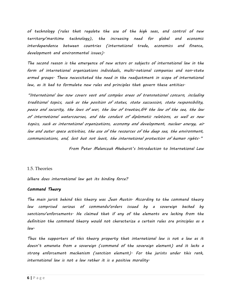*of technology (rules that regulate the use of the high seas, and control of new territory/maritime technology), the increasing need for global and economic interdependence between countries (international trade, economics and finance, development and environmental issues).* 

*The second reason is the emergence of new actors or subjects of international law in the form of international organizations individuals, multi-national companies and non-state armed groups. These necessitated the need in the readjustment in scope of international law, as it had to formulate new rules and principles that govern these entities.*

*"International law now covers vast and complex areas of transnational concern, including traditional topics, such as the position of states, state succession, state responsibility, peace and security, the laws of war, the law of treaties,64 the law of the sea, the law of international watercourses, and the conduct of diplomatic relations, as well as new topics, such as international organizations, economy and development, nuclear energy, air law and outer space activities, the use of the resources of the deep sea, the environment, communications, and, last but not least, the international protection of human rights."*

*From Peter Malanczuk Akehurst's Introduction to International Law*

# 1.5. Theories

*Where does international law get its binding force?*

# *Command Theory*

*The main jurist behind this theory was Jean Austin. According to the command theory law comprised serious of commands/orders issued by a sovereign backed by sanctions/enforcements. He claimed that if any of the elements are lacking from the definition the command theory would not characterize a certain rules ore principles as a law.*

*Thus the supporters of this theory property that international law is not a law as it doesn't emanate from a sovereign (command of the sovereign element) and it lacks a strong enforcement mechanism (sanction element). For the jurists under this rank, international law is not a law rather it is a positive morality.*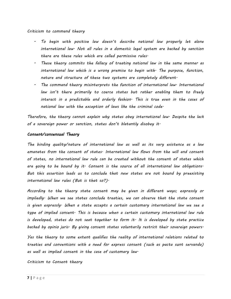*Criticism to command theory*

- *- To begin with positive law doesn't describe national law properly let alone international law. Not all rules in a domestic legal system are backed by sanction there are these rules which are called permissive rules.*
- *- These theory commits the fallacy of treating national law in the same manner as international law which is a wrong premise to begin with. The purpose, function, nature and structure of these two systems are completely different.*
- *- The command theory misinterprets the function of international law. International law isn't there primarily to coerce states but rather enabling them to freely interact in a predictable and orderly fashion. This is true even in the cases of national law with the exception of laws like the criminal code.*

*Therefore, the theory cannot explain why states obey international law. Despite the lack of a sovereign power or sanction, states don't blatantly disobey it.*

### *Consent/consensual Theory*

*The binding quality/nature of international law as well as its very existence as a law emanates from the consent of states. International law flows from the will and consent of states, no international law rule can be created without the consent of states which are going to be bound by it. Consent is the source of all international law obligations. But this assertion leads us to conclude that new states are not bound by preexisting international law rules (But is that so?).*

*According to the theory state consent may be given in different ways; expressly or impliedly. When we see states conclude treaties, we can observe that the state consent is given expressly. When a state accepts a certain customary international law we see a type of implied consent. This is because when a certain customary international law rule is developed, states do not seat together to form it. It is developed by state practice backed by opinio juris. By giving consent states voluntarily restrict their sovereign powers.*

*Yes the theory to some extent qualifies the reality of international relations related to treaties and conventions with a need for express consent (such as pacta sunt servanda) as well as implied consent in the case of customary law.*

*Criticism to Consent theory*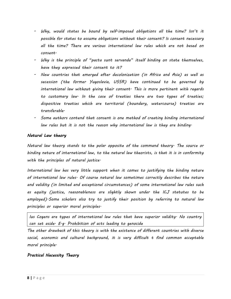- *- Why, would states be bound by self-imposed obligations all the time? Isn't it possible for states to assume obligations without their consent? Is consent necessary all the time? There are various international law rules which are not based on consent.*
- *- Why is the principle of "pacta sunt servanda" itself binding on state themselves, have they expressed their consent to it?*
- *- New countries that emerged after decolonization (in Africa and Asia) as well as secession (the former Yugoslavia, USSR) have continued to be governed by international law without giving their consent. This is more pertinent with regards to customary law. In the case of treaties there are two types of treaties; dispositive treaties which are territorial (boundary, watercourse) treaties are transferable.*
- *- Some authors contend that consent is one method of creating binding international law rules but it is not the reason why international law is they are binding.*

# *Natural Law theory*

*Natural law theory stands to the polar opposite of the command theory. The source or binding nature of international law, to the natural law theorists, is that it is in conformity with the principles of natural justice.*

*International law has very little support when it comes to justifying the binding nature of international law rules. Of course natural law sometimes correctly describes the nature and validity (in limited and exceptional circumstances) of some international law rules such as equity (justice, reasonableness are slightly shown under the ICJ statutes to be employed).Some scholars also try to justify their position by referring to natural law principles or superior moral principles.* 

*Ius Cogens are types of international law rules that have superior validity. No country can set aside. E.g. Prohibition of acts leading to genocide*

*The other drawback of this theory is with the existence of different countries with diverse social, economic and cultural background, it is very difficult t find common acceptable moral principle.*

# *Practical Necessity Theory*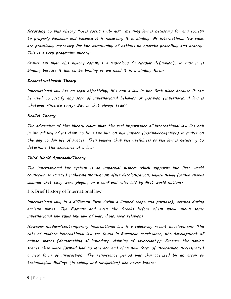*According to this theory "Ubis sossitas ubi ius", meaning law is necessary for any society to properly function and because it is necessary it is binding. As international law rules are practically necessary for the community of nations to operate peacefully and orderly. This is a very pragmatic theory.*

*Critics say that this theory commits a tautology (a circular definition), it says it is binding because it has to be binding or we need it in a binding form.*

### *Deconstructionist Theory*

*International law has no legal objectivity, it's not a law in the first place because it can be used to justify any sort of international behavior or position (international law is whatever America says). But is that always true?*

### *Realist Theory*

*The advocates of this theory claim that the real importance of international law lies not in its validity of its claim to be a law but on the impact (positive/negative) it makes on the day to day life of states. They believe that the usefulness of the law is necessary to determine the existence of a law.*

# *Third World Approach/Theory*

*The international law system is an impartial system which supports the first world countries. It started gathering momentum after decolonization, where newly formed states claimed that they were playing on a turf and rules laid by first world nations.* 

# 1.6. Brief History of International law

*International law, in a different form (with a limited scope and purpose), existed during ancient times. The Romans and even the Greeks before them knew about some international law rules like law of war, diplomatic relations.*

*However modern/contemporary international law is a relatively recent development. The rots of modern international law are found in European renaissance, the development of nation states (demarcating of boundary, claiming of sovereignty). Because the nation states that were formed had to interact and that new form of interaction necessitated a new form of interaction. The renaissance period was characterized by an array of technological findings (in sailing and navigation) like never before.*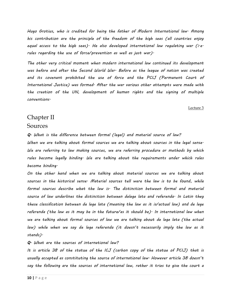*Hugo Grotius, who is credited for being the father of Modern International law. Among his contribution are the principle of the freedom of the high seas (all countries enjoy equal access to the high seas). He also developed international law regulating war (i.e. rules regarding the use of force/prevention as well as just war).*

*The other very critical moment when modern international law continued its development was before and after the Second World War. Before as the league of nation was created and its covenant prohibited the use of force and the PCIJ (Permanent Court of International Justice) was formed. After the war various other attempts were made with the creation of the UN, development of human rights and the signing of multiple conventions.* 

Lecture 3

# Chapter II

# Sources

*Q. What is the difference between formal (legal) and material source of law?*

*When we are talking about formal sources we are talking about sources in the legal sense. We are referring to law making sources, we are referring procedure or methods by which rules become legally binding. We are talking about the requirements under which rules become binding.*

*On the other hand when we are talking about material sources we are talking about sources in the historical sense. Material sources tell were the law is to be found, while formal sources describe what the law is. The distinction between formal and material source of law underlines the distinction between delege lata and referenda. In Latin they these classification between de lege lata (meaning the law as it is/actual law) and de lege referenda (the law as it may be in the future/as it should be). In international law when we are talking about formal sources of law we are talking about de lege lata (the actual law) while when we say de lege referenda (it doesn't necessarily imply the law as it stands).*

*Q. What are the sources of international law?*

*It is article 38 of the statue of the ICJ (carbon copy of the statue of PCIJ) that is usually accepted as constituting the source of international law. However article 38 doesn't say the following are the sources of international law, rather it tries to give the court a*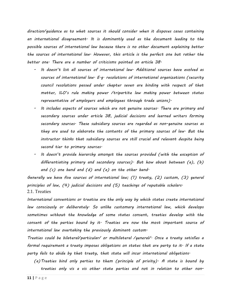*direction/guidance as to what sources it should consider when it disposes cases containing an international disagreement. It is dominantly used as the document leading to the possible sources of international law because there is no other document explaining better the sources of international law. However, this article is the perfect one but rather the better one. There are a number of criticisms pointed on article 38.*

- *- It doesn't list all sources of international law. Additional sources have evolved as sources of international law. E.g. resolutions of international organizations (security council resolutions passed under chapter seven are binding with respect of that matter, ILO's rule making power /tripartite law making power between states representative of employers and employees through trade unions).*
- *- It includes aspects of sources which are not genuine sources. There are primary and secondary sources under article 38, judicial decisions and learned writers forming secondary sources. These subsidiary sources are regarded as non-genuine sources as they are used to elaborate the contents of the primary sources of law. But the instructor thinks that subsidiary sources are still crucial and relevant despite being second tier to primary sources.*
- *- It doesn't provide hierarchy amongst the sources provided (with the exception of differentiating primary and secondary sources). But how about between (a), (b) and (c) one hand and (d) and (e) on the other hand.*

*Generally we have five sources of international law; (1) treaty, (2) custom, (3) general principles of law, (4) judicial decisions and (5) teachings of reputable scholars.*  2.1. Treaties

*International conventions or treatise are the only way by which states create international law consciously or deliberately. So unlike customary international law, which develops sometimes without the knowledge of some states consent, treaties develop with the consent of the parties bound by it. Treaties are now the most important source of international law overtaking the previously dominant custom.*

*Treaties could be bilateral/particular/ or multilateral /general/. Once a treaty satisfies a formal requirement a treaty imposes obligations on states that are party to it. If a state party fails to abide by that treaty, that state will incur international obligations.*

*(a)Treaties bind only parties to them (principle of privity). A state is bound by treaties only vis a vis other state parties and not in relation to other non-*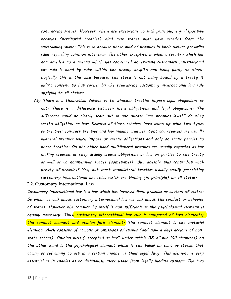*contracting states. However, there are exceptions to such principle, e.g. dispositive treaties (territorial treaties) bind new states that have seceded from the contracting state. This is so because these kind of treaties in their nature prescribe rules regarding common interests. The other exception is when a country which has not acceded to a treaty which has converted an existing customary international*  law rule is bond by rules within the treaty despite not being party to them. Logically this is the case because, the state is not being bound by a treaty it *didn't consent to but rather by the preexisting customary international law rule applying to all states.*

*(b) There is a theoretical debate as to whether treaties impose legal obligations or not. There is a difference between mere obligations and legal obligations. The difference could be clearly dealt out in one phrase "are treaties laws?" do they create obligation or law. Because of these scholars have come up with two types of treaties; contract treaties and law making treaties. Contract treaties are usually bilateral treaties which impose or create obligations and only on state parties to those treaties. On the other hand multilateral treaties are usually regarded as law making treaties as they usually create obligations or law on parties to the treaty as well as to nonmember states (sometimes). But doesn't this contradict with privity of treaties? Yes, but most multilateral treaties usually codify preexisting customary international law rules which are binding (in principle) on all states.* 

2.2. Customary International Law

*Customary international law is a law which has involved from practice or custom of states. So when we talk about customary international law we talk about the conduct or behavior of states. However the conduct by itself is not sufficient as the psychological element is equally necessary. Thus, customary international law rule is composed of two elements; the conduct element and opinion juris element. The conduct element is the material element which consists of actions or omissions of states (and now a days actions of nonstate actors). Opinion juris ("accepted as law" under article 38 of the ICJ statutes) on the other hand is the psychological element which is the belief on part of states that acting or refraining to act in a certain manner is their legal duty. This element is very essential as it enables as to distinguish mere usage from legally binding custom. The two*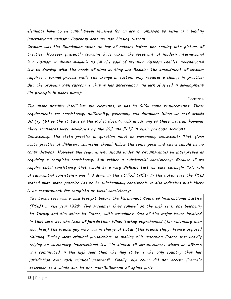*elements have to be cumulatively satisfied for an act or omission to serve as a binding international custom. Courtesy acts are not binding custom.*

*Custom was the foundation stone on law of nations before the coming into picture of treaties. However presently customs have taken the forefront of modern international law. Custom is always available to fill the void of treaties. Custom enables international*  law to develop with the needs of time as they are flexible<sup>.</sup> The amendment of custom *requires a formal process while the change in custom only requires a change in practice. But the problem with custom is that it has uncertainty and lack of speed in development (in principle it takes time).*

Lecture 4

*The state practice itself has sub elements, it has to fulfill some requirements. These requirements are consistency, uniformity, generality and duration. When we read article 38 (1) (b) of the statute of the ICJ it doesn't talk about any of these criteria, however these standards were developed by the ICJ and PCIJ in their previous decisions.* 

*Consistency: the state practice in question must be reasonably consistent. That given state practice of different countries should follow the same path and there should be no contradictions. However the requirement should under no circumstances be interpreted as requiring a complete consistency, but rather a substantial consistency. Because if we require total consistency that would be a very difficult test to pass through. This rule of substantial consistency was laid down in the LOTUS CASE. In the Lotus case the PCIJ stated that state practice has to be substantially consistent, it also indicated that there is no requirement for complete or total consistency.*

*The Lotus case was a case brought before the Permanent Court of International Justice (PCIJ) in the year 1928. Two streamer ships collided on the high seas, one belonging to Turkey and the other to France, with casualties. One of the major issues involved in that case was the issue of jurisdiction. When Turkey apprehended (for voluntary man slaughter) the French guy who was in charge of Lotus (the French ship), France opposed claiming Turkey lacks criminal jurisdiction. In making this assertion France was heavily relying on customary international law "In almost all circumstances where an offence was committed in the high seas then the flag state is the only country that has jurisdiction over such criminal matters". Finally, the court did not accept France's assertion as a whole due to the non-fulfillment of opinio juris.*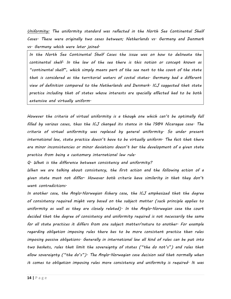*Uniformity: The uniformity standard was reflected in the North Sea Continental Shelf Cases. These were originally two cases between; Netherlands vs. Germany and Denmark vs. Germany which were later joined.*

*In the North Sea Continental Shelf Cases the issue was on how to delineate the continental shelf. In the law of the sea there is this notion or concept known as "continental shelf", which simply means part of the sea next to the coast of the state that is considered as the territorial waters of costal states. Germany had a different view of definition compared to the Netherlands and Denmark. ICJ suggested that state practice including that of states whose interests are specially affected had to be both extensive and virtually uniform.* 

*However the criteria of virtual uniformity is a though one which can't be optimally full filled by various cases, thus the ICJ changed its stance in the 1984 Nicaragua case. The criteria of virtual uniformity was replaced by general uniformity. So under present international law, state practice doesn't have to be virtually uniform. The fact that there are minor inconsistencies or minor deviations doesn't bar the development of a given state practice from being a customary international law rule.* 

*Q. What is the difference between consistency and uniformity?*

*When we are talking about consistency, the first action and the following action of a given state must not differ. However both criteria have similarity in that they don't want contradictions.*

*In another case, the Anglo-Norwegian fishery case, the ICJ emphasized that the degree of consistency required might vary based on the subject matter (such principle applies to uniformity as well as they are closely related). In the Anglo-Norwegian case the court decided that the degree of consistency and uniformity required is not necessarily the same for all state practices it differs from one subject matter/nature to another. For example regarding obligation imposing rules there has to be more consistent practice than rules imposing passive obligations. Generally in international law all kind of rules can be put into two baskets, rules that limit the sovereignty of states ("the do not's") and rules that allow sovereignty ("the do's"). The Anglo-Norwegian case decision said that normally when it comes to obligation imposing rules more consistency and uniformity is required. It was*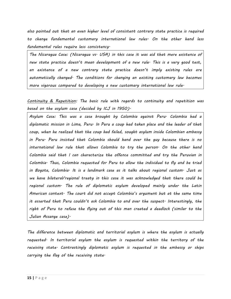*also pointed out that an even higher level of consistent contrary state practice is required to change fundamental customary international law rules. On the other hand less fundamental rules require less consistency.*

*The Nicaragua Case: (Nicaragua vs. USA) in this case it was aid that mere existence of new state practice doesn't mean development of a new rule. This is a very good test, an existence of a new contrary state practice doesn't imply existing rules are automatically changed. The conditions for changing an existing customary law becomes more vigorous compared to developing a new customary international law rule.* 

*Continuity & Repetition: The basic rule with regards to continuity and repetition was based on the asylum case (decided by ICJ in 1950).*

*Asylum Case: This was a case brought by Colombia against Peru. Colombia had a diplomatic mission in Lima, Peru. In Peru a coup had taken place and the leader of that coup, when he realized that the coup had failed, sought asylum inside Colombian embassy in Peru. Peru insisted that Colombia should hand over the guy because there is no international law rule that allows Colombia to try the person. On the other hand Colombia said that I can characterize the offence committed and try the Peruvian in Colombia. Thus, Colombia requested for Peru to allow the individual to fly and be tried in Bogota, Colombia. It is a landmark case as it talks about regional custom. Just as we have bilateral/regional treaty in this case it was acknowledged that there could be regional custom. The rule of diplomatic asylum developed mainly under the Latin American context. The court did not accept Colombia's argument but at the same time it asserted that Peru couldn't ask Colombia to and over the suspect. Interestingly, the right of Peru to refuse the flying out of this man created a deadlock (similar to the Julian Assange case).* 

*The difference between diplomatic and territorial asylum is where the asylum is actually requested. In territorial asylum the asylum is requested within the territory of the receiving state. Contrastingly diplomatic asylum is requested in the embassy or ships carrying the flag of the receiving state.*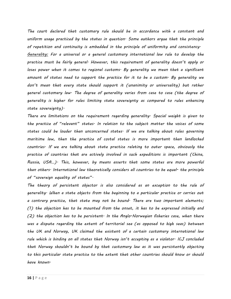*The court declared that customary rule should be in accordance with a constant and uniform usage practiced by the states in question. Some authors argue that the principle of repetition and continuity is embedded in the principle of uniformity and consistency. Generality: For a universal or a general customary international law rule to develop the practice must be fairly general. However, this requirement of generality doesn't apply or*  loses power when it comes to regional customs<sup>.</sup> By generality we mean that a significant *amount of states need to support the practice for it to be a custom. By generality we don't mean that every state should support it (unanimity or universality) but rather general customary law. The degree of generality varies from case to case (the degree of generality is higher for rules limiting state sovereignty as compared to rules enhancing state sovereignty).*

*There are limitations on the requirement regarding generality. Special weight is given to the practice of "relevant" states. In relation to the subject matter the voices of some states could be louder than unconcerned states. If we are talking about rules governing maritime law, then the practice of costal states is more important than landlocked countries. If we are talking about state practice relating to outer space, obviously the practice of countries that are actively involved in such expeditions is important (China, Russia, USA…). This, however, by means asserts that some states are more powerful than others. International law theoretically considers all countries to be equal- the principle of "sovereign equality of states".*

*The theory of persistent objector is also considered as an exception to the rule of generality. When a state objects from the beginning to a particular practice or carries out a contrary practice, that state may not be bound. There are two important elements; (1) the objection has to be mounted from the onset, it has to be expressed initially and (2) the objection has to be persistent. In the Anglo-Norwegian fisheries case, when there was a dispute regarding the extent of territorial sea (as opposed to high seas) between the UK and Norway, UK claimed the existent of a certain customary international law rule which is binding on all states that Norway isn't accepting as a violator. ICJ concluded that Norway shouldn't be bound by that customary law as it was persistently objecting to this particular state practice to the extent that other countries should know or should have known.*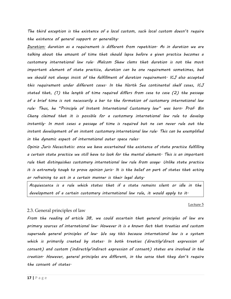*The third exception is the existence of a local custom, such local custom doesn't require the existence of general support or generality.*

*Duration: duration as a requirement is different from repetition. As in duration we are talking about the amount of time that should lapse before a given practice becomes a customary international law rule. Malcom Shaw clams that duration is not the most important element of state practice, duration can be one requirement sometimes, but we should not always insist of the fulfillment of duration requirement. ICJ also accepted this requirement under different cases. In the North Sea continental shelf cases, ICJ stated that, (1) the length of time required differs from case to case (2) the passage of a brief time is not necessarily a bar to the formation of customary international law rule. Thus, he "Principle of Instant International Customary law" was born. Prof. Bin Cheng claimed that it is possible for a customary international law rule to develop instantly. In most cases a passage of time is required but ne can never rule out the instant development of an instant customary international law rule. This can be exemplified in the dynamic aspect of international outer space rules.*

*Opinio Juris Nececitatis: once we have ascertained the existence of state practice fulfilling a certain state practice we still have to look for the mental element. This is an important rule that distinguishes customary international law rule from usage. Unlike state practice it is extremely tough to prove opinion juris. It is the belief on part of states that acting or refraining to act in a certain manner is their legal duty.*

*Acquiescence is a rule which states that if a state remains silent or idle in the development of a certain customary international law rule, it would apply to it.*

### Lecture 5

### 2.3. General principles of law

*From the reading of article 38, we could ascertain that general principles of law are primary sources of international law. However it is a known fact that treaties and custom supersede general principles of law. We say this because international law is a system which is primarily created by states. In both treaties (directly/direct expression of consent) and custom (indirectly/indirect expression of consent) states are involved in the creation. However, general principles are different, in the sense that they don't require the consent of states.*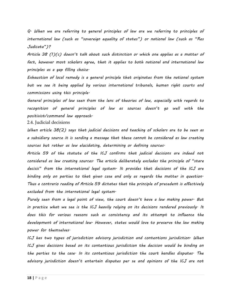*Q. When we are referring to general principles of law are we referring to principles of international law (such as "sovereign equality of states") or national law (such as "Res Judicata")?*

*Article 38 (1)(c) doesn't talk about such distinction or which one applies as a matter of fact, however most scholars agree, that it applies to both national and international law principles as a gap filling choice.*

*Exhaustion of local remedy is a general principle that originates from the national system but we see it being applied by various international tribunals, human right courts and commissions using this principle.*

*General principles of law seen from the lens of theories of law, especially with regards to recognition of general principles of law as sources doesn't go well with the positivist/command law approach.* 

2.4. Judicial decisions

*When article 38(2) says that judicial decisions and teaching of scholars are to be seen as a subsidiary source it is sending a message that these cannot be considered as law creating sources but rather as law elucidating, determining or defining sources.*

*Article 59 of the statute of the ICJ confirms that judicial decisions are indeed not considered as law creating sources. The article deliberately excludes the principle of "stare decisis" from the international legal system. It provides that decisions of the ICJ are binding only on parties to that given case and only as regards the matter in question. Thus a contrario reading of Article 59 dictates that the principle of precedent is effectively excluded from the international legal system.*

*Purely seen from a legal point of view, the court doesn't have a law making power. But in practice what we see is the ICJ heavily relying on its decisions rendered previously. It does this for various reasons such as consistency and its attempt to influence the development of international law. However, states would love to preserve the law making power for themselves.*

*ICJ has two types of jurisdiction advisory jurisdiction and contentions jurisdiction. When ICJ gives decisions based on its contentious jurisdiction the decision would be binding on the parties to the case. In its contentious jurisdiction the court handles disputes. The advisory jurisdiction doesn't entertain disputes per se and opinions of the ICJ are not*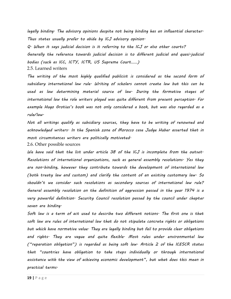*legally binding. The advisory opinions despite not being binding has an influential character. Thus states usually prefer to abide by ICJ advisory opinion.*

*Q. When it says judicial decision is it referring to the ICJ or also other courts? Generally the reference towards judicial decision is to different judicial and quasi-judicial bodies (such as ICC, ICTY, ICTR, US Supreme Court……)*  2.5. Learned writers

*The writing of the most highly qualified publicist is considered as the second form of subsidiary international law rule. Writing of scholars cannot create law but this can be used as law determining material source of law. During the formative stages of international law the role writers played was quite different from present perception. For example Hugo Grotius's book was not only considered a book, but was also regarded as a rule/law.*

*Not all writings qualify as subsidiary sources, they have to be writing of renowned and acknowledged writers. In the Spanish zone of Morocco case Judge Huber asserted that in most circumstances writers are politically motivated.*

2.6. Other possible sources

*We have said that the list under article 38 of the ICJ is incomplete from the outset. Resolutions of international organizations, such as general assembly resolutions. Yes they are non-binding, however they contribute towards the development of international law (both treaty law and custom) and clarify the content of an existing customary law. So shouldn't we consider such resolutions as secondary sources of international law rule? General assembly resolution on the definition of aggression passed in the year 1974 is a very powerful definition. Security Council resolution passed by the council under chapter seven are binding.*

*Soft law is a term of act used to describe two different notions. The first one is that soft law are rules of international law that do not stipulate concrete rights or obligations but which have normative value. They are legally binding but fail to provide clear obligations and rights. They are vague and quite flexible. Most rules under environmental law ("reparation obligation") is regarded as being soft law. Article 2 of the ICESCR states that "countries have obligation to take steps individually or through international assistance with the view of achieving economic development", but what does this mean in practical terms.*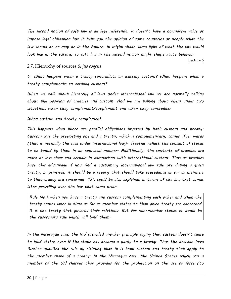*The second notion of soft law is de lege referenda, it doesn't have a normative value or impose legal obligation but it tells you the opinion of some countries or people what the law should be or may be in the future. It might shade some light of what the law would look like in the future, so soft law in the second notion might shape state behavior.*

Lecture 6

### 2.7. Hierarchy of sources & *jus cogens*

*Q. What happens when a treaty contradicts an existing custom? What happens when a treaty complements an existing custom?*

*When we talk about hierarchy of laws under international law we are normally talking about the position of treaties and custom. And we are talking about them under two situations when they complement/supplement and when they contradict.* 

### *When custom and treaty complement*

*This happens when there are parallel obligations imposed by both custom and treaty. Custom was the preexisting one and a treaty, which is complementary, comes after wards (that is normally the case under international law). Treaties reflect the consent of states to be bound by them in an equivocal manner. Additionally, the contents of treaties are more or less clear and certain in comparison with international custom. Thus as treaties have this advantage if you find a customary international law rule pre dating a given treaty, in principle, it should be a treaty that should take precedence as far as members to that treaty are concerned. This could be also explained in terms of the law that comes later prevailing over the law that came prior.*

*Rule No.1 when you have a treaty and custom complementing each other and when the treaty comes later in time as far as member states to that given treaty are concerned it is the treaty that governs their relations. But for non-member states it would be the customary rule which will bind them.* 

*In the Nicaragua case, the ICJ provided another principle saying that custom doesn't cease to bind states even if the state has become a party to a treaty. Thus the decision have further qualified the rule by claiming that it is both custom and treaty that apply to the member state of a treaty. In the Nicaragua case, the United States which was a member of the UN charter that provides for the prohibition on the use of force (to*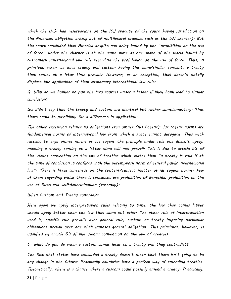*which the U.S. had reservations on the ICJ statute of the court having jurisdiction on the American obligation arising out of multilateral treaties such as the UN charter). But the court concluded that America despite not being bound by the "prohibition on the use of force" under the charter is at the same time as one state of the world bound by customary international law rule regarding the prohibition on the use of force. Thus, in principle, when we have treaty and custom having the same/similar content, a treaty that comes at a later time prevails. However, as an exception, that doesn't totally displace the application of that customary international law rule.*

*Q. Why do we bother to put the two sources under a ladder if they both lead to similar conclusion?*

*We didn't say that the treaty and custom are identical but rather complementary. Thus there could be possibility for a difference in application.*

*The other exception relates to obligations erga omnes (Ius Cogens). Ius cogens norms are fundamental norms of international law from which a state cannot derogate. Thus with respect to erga omnes norms or Ius cogens the principle under rule one doesn't apply, meaning a treaty coming at a letter time will not prevail. This is due to article 53 of the Vienna convention on the law of treaties which states that "a treaty is void if at the time of conclusion it conflicts with the peremptory norm of general public international law". There is little consensus on the content/subject matter of ius cogens norms. Few of them regarding which there is consensus are prohibition of Genocide, prohibition on the use of force and self-determination (recently).*

### *When Custom and Treaty contradict*

*Here again we apply interpretation rules relating to time, the law that comes latter should apply better than the law that came out prior. The other rule of interpretation used is, specific rule prevails over general rule, custom or treaty imposing particular obligations prevail over one that imposes general obligation. This principles, however, is qualified by article 53 of the Vienna convention on the law of treaties.*

*Q. what do you do when a custom comes later to a treaty and they contradict?*

*The fact that states have concluded a treaty doesn't mean that there isn't going to be any change in the future. Practically countries have a perfect way of amending treaties. Theoretically, there is a chance where a custom could possibly amend a treaty. Practically,*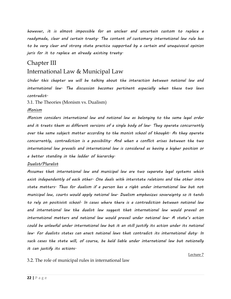*however, it is almost impossible for an unclear and uncertain custom to replace a readymade, clear and certain treaty. The content of customary international law rule has to be very clear and strong state practice supported by a certain and unequivocal opinion juris for it to replace an already existing treaty.*

# Chapter III

# International Law & Municipal Law

*Under this chapter we will be talking about the interaction between national law and international law. The discussion becomes pertinent especially when these two laws contradict.* 

3.1. The Theories (Monism vs. Dualism)

# *Monism*

*Monism considers international law and national law as belonging to the same legal order and it treats them as different versions of a single body of law. They operate concurrently over the same subject matter according to the monist school of thought. As they operate concurrently, contradiction is a possibility. And when a conflict arises between the two international law prevails and international law is considered as having a higher position or a better standing in the ladder of hierarchy.*

# *Dualist/Pluralist*

*Assumes that international law and municipal law are two separate legal systems which exist independently of each other. One deals with interstate relations and the other intra state matters. Thus for dualism if a person has a right under international law but not municipal law, courts would apply national law. Dualism emphasizes sovereignty so it tends to rely on positivist school. In cases where there is a contradiction between national law and international law the dualist law suggest that international law would prevail on international matters and national law would prevail under national law. A state's action could be unlawful under international law but it an still justify its action under its national law. For dualists states can enact national laws that contradict its international duty. In such cases the state will, of course, be held liable under international law but nationally it can justify its actions.*

3.2. The role of municipal rules in international law

Lecture 7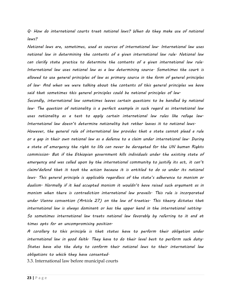*Q. How do international courts treat national laws? When do they make use of national laws?*

*National laws are, sometimes, used as sources of international law. International law uses national law in determining the contents of a given international law rule. National law can clarify state practice to determine the contents of a given international law rule. International law uses national law as a law determining source. Sometimes the court is allowed to use general principles of law as primary source in the form of general principles of law. And when we were talking about the contents of this general principles we have said that sometimes this general principles could be national principles of law.*

*Secondly, international law sometimes leaves certain questions to be handled by national law. The question of nationality is a perfect example in such regard as international law uses nationality as a test to apply certain international law rules like refuge law. International law doesn't determine nationality but rather leaves it to national laws.*

*However, the general rule of international law provides that a state cannot plead a rule or a gap in their own national law as a defense to a claim under international law. During a state of emergency the right to life can never be derogated for the UN human Rights commission. But if the Ethiopian government kills individuals under the existing state of emergency and was called upon by the international community to justify its act, it can't claim/defend that it took the action because it is entitled to do so under its national laws. This general principle is applicable regardless of the state's adherence to monism or dualism. Normally if it had accepted monism it wouldn't have raised such argument as in monism when there is contradiction international law prevails. This rule is incorporated under Vienna convention (Article 27) on the law of treaties. This theory dictates that international law is always dominant or has the upper hand in the international setting. So sometimes international law treats national law favorably by referring to it and at times opts for an uncompromising position.*

*A corollary to this principle is that states have to perform their obligation under international law in good faith. They have to do their level best to perform such duty. States have also the duty to conform their national laws to their international law obligations to which they have consented.* 

3.3. International law before municipal courts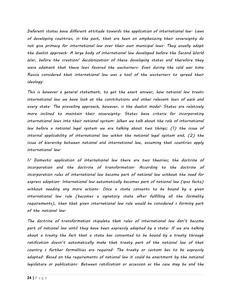*Deferent states have different attitude towards the application of international law. Laws of developing countries, in the past, that are keen on emphasizing their sovereignty do not give primacy for international law over their own municipal laws. They usually adopt the dualist approach. A large body of international law developed before the Second World War, before the creation/ decolonization of these developing states and therefore they were adamant that these laws favored the westerners. Even during the cold war time Russia considered that international law was a tool of the westerners to spread their ideology.*

*This is however a general statement, to get the exact answer, how national law treats international law we have look at the constitutions and other relevant laws of each and every state. The prevailing approach, however, is the dualist model. States are relatively more inclined to maintain their sovereignty. States have criteria for incorporating international laws into their national system. When we talk about the role of international*  law before a national legal system we are talking about two things; (1) the issue of *internal applicability of international law within the national legal system and, (2) the issue of hierarchy between national and international law, assuming that countries apply international law.*

*1/ Domestic application of international law there are two theories; the doctrine of incorporation and the doctrine of transformation. According to the doctrine of incorporation rules of international law become part of national law without the need for express adoption. International law automatically becomes part of national law (ipso facto) without needing any more actions. Once a state consents to be bound by a given international law rule (becomes a signatory state after fulfilling all the formality requirements), then that given international law rule would be considered s forming part of the national law.*

*The doctrine of transformation stipulate that rules of international law don't become part of national law until they have been expressly adopted by a state. If we are talking about a treaty the fact that a state has consented to be bound by a treaty through ratification doesn't automatically make that treaty part of the national law of that country s further formalities are required. The treaty or custom has to be expressly adopted. Based on the requirements of national law it could be enactment by the national legislature or publications. Between ratification or accession as the case may be and the*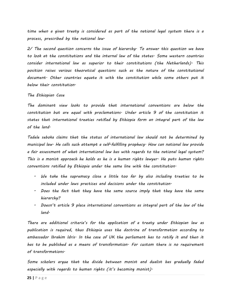*time when a given treaty is considered as part of the national legal system there is a process, prescribed by the national law.*

*2/ The second question concerns the issue of hierarchy. To answer this question we have to look at the constitutions and the internal law of the states. Some western countries consider international law as superior to their constitutions (the Netherlands). This position raises various theoretical questions such as the nature of the constitutional document. Other countries equate it with the constitution while some others put it below their constitution.*

#### *The Ethiopian Case*

*The dominant view looks to provide that international conventions are below the constitution but are equal with proclamations. Under article 9 of the constitution it states that international treaties ratified by Ethiopia form an integral part of the law of the land.*

*Tadele seboka claims that the status of international law should not be determined by municipal law. He calls such attempt a self-fulfilling prophecy. How can national law provide a fair assessment of what international law has with regards to the national legal system? This is a monist approach he holds as he is a human rights lawyer. He puts human rights conventions ratified by Ethiopia under the same line with the constitution.* 

- *- We take the supremacy close a little too far by also including treaties to be included under laws practices and decisions under the constitution.*
- *- Does the fact that they have the same source imply that they have the same hierarchy?*
- *- Doesn't article 9 place international conventions as integral part of the law of the land.*

*There are additional criteria's for the application of a treaty under Ethiopian law as publication is required, thus Ethiopia uses the doctrine of transformation according to ambassador Ibrahim Idris. In the case of UK the parliament has to ratify it and then it has to be published as a means of transformation. For custom there is no requirement of transformations.* 

*Some scholars argue that the divide between monist and dualist has gradually faded especially with regards to human rights (it's becoming monist).*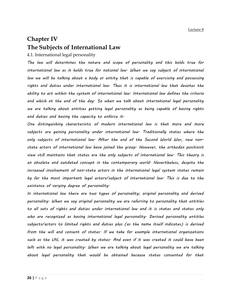# **Chapter IV The Subjects of International Law**

4.1. International legal personality

*The law will determines the nature and scope of personality and this holds true for international law as it holds true for national law. When we say subject of international law we will be talking about a body or entity that is capable of exercising and possessing rights and duties under international law. Thus it is international law that devotes the ability to act within the system of international law. International law defines the criteria and which at the end of the day. So when we talk about international legal personality we are talking about entities getting legal personality as being capable of having rights and duties and having the capacity to enforce it.*

*One distinguishing characteristic of modern international law is that more and more subjects are gaining personality under international law. Traditionally states where the only subjects of international law. After the end of the Second World War, new nonstate actors of international law have joined the group. However, the orthodox positivist view still maintains that states are the only subjects of international law. This theory is an obsolete and outdated concept in the contemporary world. Nevertheless, despite the increased involvement of non-state actors in the international legal system states remain by far the most important legal actors/subject of international law. This is due to the existence of varying degree of personality.* 

In international law there are two types of personality; original personality and derived *personality. When we say original personality we are referring to personality that entitles to all sets of rights and duties under international law and it is states and states only who are recognized as having international legal personality. Derived personality entitles subjects/actors to limited rights and duties plus (as the name itself indicates) is derived from the will and consent of states. If we take for example international organizations such as the UN, it was created by states. And even if it was created it could have been*  left with no legal personality<sup>.</sup> When we are talking about legal personality we are talking *about legal personality that would be obtained because states consented for that*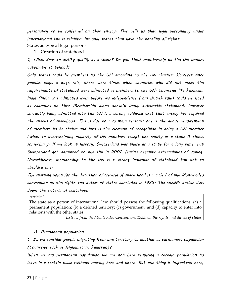*personality to be conferred on that entity. This tells us that legal personality under international law is relative. Its only states that have the totality of rights.*  States as typical legal persons

1. Creation of statehood

*Q. When does an entity qualify as a state? Do you think membership to the UN implies automatic statehood?*

*Only states could be members to the UN according to the UN charter. However since politics plays a huge role, there were times when countries who did not meet the requirements of statehood were admitted as members to the UN. Countries like Pakistan, India (India was admitted even before its independence from British rule) could be sited as examples to this. Membership alone doesn't imply automatic statehood, however currently being admitted into the UN is a strong evidence that that entity has acquired the status of statehood. This is due to two main reasons: one is the above requirement of members to be states and two is the element of recognition in being a UN member (when an overwhelming majority of UN members accept the entity as a state it shows something). If we look at history, Switzerland was there as a state for a long time, but Switzerland got admitted to the UN in 2002 fearing negative externalities of voting. Nevertheless, membership to the UN is a strong indicator of statehood but not an absolute one.*

*The starting point for the discussion of criteria of state hood is article 1 of the Montevideo convention on the rights and duties of states concluded in 1933. The specific article lists down the criteria of statehood.*

Article 1.

The state as a person of international law should possess the following qualifications: (a) a permanent population; (b) a defined territory; (c) government; and (d) capacity to enter into relations with the other states.

*Extract from the Montevideo Convention, 1933, on the rights and duties of states*

# *A. Permanent population*

*Q. Do we consider people migrating from one territory to another as permanent population (Countries such as Afghanistan, Pakistan)?*

*When we say permanent population we are not here requiring a certain population to leave in a certain place without moving here and there. But one thing is important here,*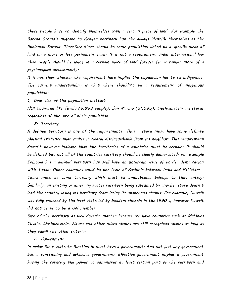*these people have to identify themselves with a certain piece of land. For example the Borena Oromo's migrate to Kenyan territory but the always identify themselves as the Ethiopian Borena. Therefore there should be some population linked to a specific piece of land on a more or less permanent basis. It is not a requirement under international law that people should be living in a certain piece of land forever (it is rather more of a psychological attachment).*

*It is not clear whether the requirement here implies the population has to be indigenous. The current understanding is that there shouldn't be a requirement of indigenous population.*

*Q. Does size of the population matter?*

*NO! Countries like Tuvalu (9,893 people), San Marino (31,595), Liechtenstein are states regardless of the size of their population.* 

*B. Territory*

*A defined territory is one of the requirements. Thus a state must have some definite physical existence that makes it clearly distinguishable from its neighbor. This requirement doesn't however indicate that the territories of a countries must be certain. It should be defined but not all of the countries territory should be clearly demarcated. For example Ethiopia has a defined territory but still have an uncertain issue of border demarcation with Sudan. Other examples could be the issue of Kashmir between India and Pakistan. There must be some territory which must be undoubtable belongs to that entity. Similarly, an existing or emerging states territory being subsumed by another state doesn't lead the country losing its territory from losing its statehood status. For example, Kuwait was fully annexed by the Iraqi state led by Saddam Hussein in the 1990's, however Kuwait did not cease to be a UN member.* 

*Size of the territory as well doesn't matter because we have countries such as Maldives Tuvalu, Liechtenstein, Nauru and other micro states are still recognized states as long as they fulfill the other criteria.* 

# *C. Government*

*In order for a state to function it must have a government. And not just any government but a functioning and effective government. Effective government implies a government having the capacity the power to administer at least certain part of the territory and*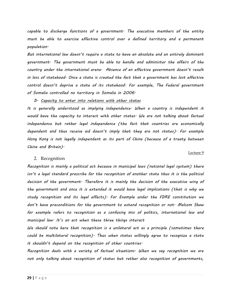*capable to discharge functions of a government. The executive members of the entity must be able to exercise effective control over a defined territory and a permanent population.*

*But international law doesn't require a state to have an absolute and an entirely dominant government. The government must be able to handle and administer the affairs of the country under the international arena. Absence of an effective government doesn't result in loss of statehood. Once a state is created the fact that a government has lost effective control doesn't deprive a state of its statehood. For example, The Federal government of Somalia controlled no territory in Somalia in 2006.*

*D. Capacity to enter into relations with other states*

*It is generally understood as implying independence. When a country is independent it would have the capacity to interact with other states. We are not talking about factual independence but rather legal independence (the fact that countries are economically dependent and thus receive aid doesn't imply that they are not states). For example Hong Kong is not legally independent as its part of China (because of a treaty between China and Britain).* 

### Lecture 9

### 2. Recognition

*Recognition is mainly a political act because in municipal laws (national legal system) there isn't a legal standard prescribe for the recognition of another state thus it is the political decision of the government. Therefore it is mainly the decision of the executive wing of the government and once it is extended it would have legal implications (that is why we study recognition and its legal effects). For Example under the FDRE constitution we don't have preconditions for the government to extend recognition or not. Malcom Shaw for example refers to recognition as a confusing mix of politics, international law and municipal law. It's an act when these three things interact* 

*We should note here that recognition is a unilateral act as a principle (sometimes there could be multilateral recognition). Thus when states willingly agree to recognize a state it shouldn't depend on the recognition of other countries.*

*Recognition deals with a variety of factual situations. When we say recognition we are not only talking about recognition of states but rather also recognition of governments,*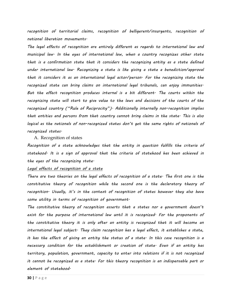*recognition of territorial claims, recognition of belligerent/insurgents, recognition of national liberation movements.*

*The legal effects of recognition are entirely different as regards to international law and municipal law. In the eyes of international law, when a country recognizes other state that is a confirmation state that it considers the recognizing entity as a state defined under international law. Recognizing a state is like giving a state a benediction/approval that it considers it as an international legal actor/person. For the recognizing state the recognized state can bring claims on international legal tribunals, can enjoy immunities. But the effect recognition produces internal is a bit different. The courts within the recognizing state will start to give value to the laws and decisions of the courts of the recognized country ("Rule of Reciprocity"). Additionally internally non-recognition implies that entities and persons from that country cannot bring claims in the state. This is also logical as the nationals of non-recognized states don't get the same rights of nationals of recognized states.* 

### A. Recognition of states

*Recognition of a state acknowledges that the entity in question fulfills the criteria of statehood. It is a sign of approval that the criteria of statehood has been achieved in the eyes of the recognizing state.*

#### *Legal effects of recognition of a state*

*There are two theories on the legal effects of recognition of a state. The first one is the constitutive theory of recognition while the second one is the declaratory theory of recognition. Usually, it's in the context of recognition of states however they also have some utility in terms of recognition of government.* 

*The constitutive theory of recognition asserts that a states nor a government doesn't exist for the purpose of international law until it is recognized. For the proponents of the constitutive theory it is only after an entity is recognized that it will become an international legal subject. They claim recognition has a legal effect, it establishes a state, it has the effect of giving an entity the status of a state. In this case recognition is a necessary condition for the establishment or creation of state. Even if an entity has territory, population, government, capacity to enter into relations if it is not recognized it cannot be recognized as a state. For this theory recognition is an indispensable part or element of statehood.*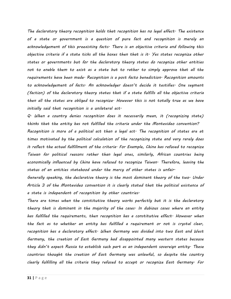*The declaratory theory recognition holds that recognition has no legal effect. The existence of a state or government is a question of pure fact and recognition is merely an acknowledgement of this preexisting facts. There is an objective criteria and following this objective criteria if a state ticks all the boxes then that is it. Yes states recognize other states or governments but for the declaratory theory states do recognize other entities not to enable them to exist as a state but to rather to simply approve that all the requirements have been made. Recognition is a post facto benediction. Recognition amounts to acknowledgement of facts. An acknowledger doesn't decide it testifies. One segment (faction) of the declaratory theory states that if a state fulfills all the objective criteria then all the states are obliged to recognize. However this is not totally true as we have initially said that recognition is a unilateral act.*

*Q. When a country denies recognition does it necessarily mean, it (recognizing state) thinks that the entity has not fulfilled the criteria under the Montevideo convention? Recognition is more of a political act than a legal act. The recognition of states are at times motivated by the political calculation of the recognizing state and vary rarely does it reflect the actual fulfillment of the criteria. For Example, China has refused to recognize Taiwan for political reasons rather than legal ones, similarly, African countries being economically influenced by China have refused to recognize Taiwan. Therefore, leaving the status of an entities statehood under the mercy of other states is unfair.* 

*Generally speaking, the declarative theory is the most dominant theory of the two. Under Article 3 of the Montevideo convention it is clearly stated that the political existence of a state is independent of recognition by other countries.* 

*There are times when the constitutive theory works perfectly but it is the declaratory theory that is dominant in the majority of the cases. In dubious cases where an entity has fulfilled the requirements, then recognition has a constitutive effect. However when the fact as to whether an entity has fulfilled a requirement or not is crystal clear, recognition has a declaratory effect. When Germany was divided into two East and West Germany, the creation of East Germany had disappointed many western states because they didn't expect Russia to establish such part as an independent sovereign entity. These countries thought the creation of East Germany was unlawful, so despite the country clearly fulfilling all the criteria they refused to accept or recognize East Germany. For*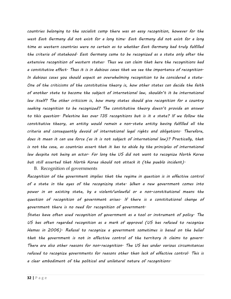*countries belonging to the socialist camp there was an easy recognition, however for the west East Germany did not exist for a long time. East Germany did not exist for a long time as western countries were no certain as to whether East Germany had truly fulfilled the criteria of statehood. East Germany came to be recognized as a state only after the extensive recognition of western states. Thus we can claim that here the recognitions had a constitutive effect. Thus it is in dubious cases that we see the importance of recognition. In dubious cases you should expect an overwhelming recognition to be considered a state. One of the criticisms of the constitutive theory is, how other states can decide the faith of another state to become the subject of international law, shouldn't it be international law itself? The other criticism is, how many states should give recognition for a country seeking recognition to be recognized? The constitutive theory doesn't provide an answer to this question. Palestine has over 135 recognitions but is it a state? If we follow the constitutive theory, an entity would remain a non-state entity having fulfilled all the criteria and consequently devoid of international legal rights and obligations. Therefore, does it mean it can use force (as it is not subject of international law)? Practically, that*  is not the case, as countries assert that it has to abide by the principles of international *law despite not being an actor. For long the US did not want to recognize North Korea but still asserted that North Korea should not attack it (the pueblo incident).* 

B. Recognition of governments

*Recognition of the government implies that the regime in question is in effective control of a state in the eyes of the recognizing state. When a new government comes into power in an existing state, by a violent/unlawful or a non-constitutional means the question of recognition of government arises. If there is a constitutional change of government there is no need for recognition of government.*

*States have often used recognition of government as a tool or instrument of policy. The US has often regarded recognition as a mark of approval (US has refused to recognize Hamas in 2006). Refusal to recognize a government sometimes is based on the belief that the government is not in effective control of the territory it claims to govern. There are also other reasons for non-recognition. The US has under various circumstances refused to recognize governments for reasons other than lack of effective control. This is a clear embodiment of the political and unilateral nature of recognitions.*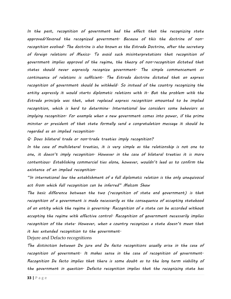*In the past, recognition of government had the effect that the recognizing state approved/favored the recognized government. Because of this the doctrine of nonrecognition evolved. The doctrine is also known as the Estrada Doctrine, after the secretary of foreign relations of Mexico. To avoid such misinterpretations that recognition of government implies approval of the regime, the theory of non-recognition dictated that states should never expressly recognize government. The simple commencement or continuance of relations is sufficient. The Estrada doctrine dictated that an express recognition of government should be withheld. So instead of the country recognizing the entity expressly it would starts diplomatic relations with it. But the problem with the Estrada principle was that, what replaced express recognition amounted to be implied recognition, which is hard to determine. International law considers some behaviors as implying recognition. For example when a new government comes into power, if the prime minster or president of that state formally send a congratulation message it should be regarded as an implied recognition.*

*Q. Does bilateral trade or non-trade treaties imply recognition?*

*In the case of multilateral treaties, it is very simple as the relationship is not one to one, it doesn't imply recognition. However in the case of bilateral treaties it is more contentious. Establishing commercial ties alone, however, wouldn't lead us to confirm the existence of an implied recognition.* 

*"In international law the establishment of a full diplomatic relation is the only unequivocal act from which full recognition can be inferred" Malcom Shaw* 

*The basic difference between the two (recognition of state and government) is that recognition of a government is made necessarily as the consequence of accepting statehood of an entity which the regime is governing. Recognition of a state can be accorded without accepting the regime with effective control. Recognition of government necessarily implies recognition of the state. However, when a country recognizes a state doesn't mean that it has extended recognition to the government.*

Dejure and Defacto recognitions

*The distinction between De jure and De facto recognitions usually arise in the case of recognition of government. It makes sense in the case of recognition of government. Recognition De facto implies that there is some doubt as to the long term viability of the government in question. Defacto recognition implies that the recognizing state has*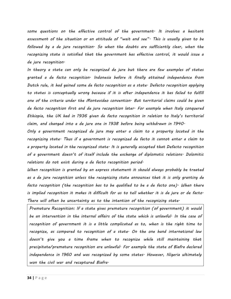*some questions on the effective control of the government. It involves a hesitant assessment of the situation or an attitude of "wait and see". This is usually given to be followed by a de jure recognition. So when the doubts are sufficiently clear, when the recognizing state is satisfied that the government has effective control, it would issue a de jure recognition.* 

*In theory a state can only be recognized de jure but there are few examples of states granted a de facto recognition. Indonesia before it finally attained independence from Dutch rule, it had gained some de facto recognition as a state. Defacto recognition applying to states is conceptually wrong because if it is after independence it has failed to fulfill one of the criteria under the Montevideo convention. But territorial claims could be given de facto recognition first and de jure recognition later. For example when Italy conquered Ethiopia, the UK had in 1936 given de facto recognition in relation to Italy's territorial claim, and changed into a de jure one in 1938 before being withdrawn in 1940.*

*Only a government recognized de jure may enter a claim to a property located in the recognizing state. Thus if a government is recognized de facto it cannot enter a claim to a property located in the recognized state. It is generally accepted that Defacto recognition of a government doesn't of itself include the exchange of diplomatic relations. Dolomitic relations do not exist during a de facto recognition period.*

*When recognition is granted by an express statement it should always probably be treated as a de jure recognition unless the recognizing state announces that it is only granting de facto recognition (the recognition has to be qualified to be a de facto one). When there is implied recognition it makes it difficult for us to tell whether it is de jure or de facto. There will often be uncertainty as to the intention of the recognizing state.*

*Premature Recognition: If a state gives premature recognition (of government) it would be an intervention in the internal affairs of the state which is unlawful. In the case of recognition of government it is a little complicated as to, when is the right time to recognize, as compared to recognition of a state. On the one hand international law doesn't give you a time frame when to recognize while still maintaining that precipitate/premature recognition are unlawful. For example the state of Biafra declared independence in 1960 and was recognized by some states. However, Nigeria ultimately won the civil war and recaptured Biafra.*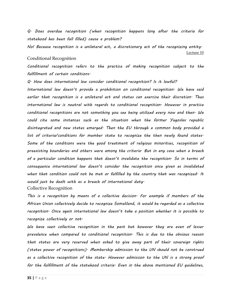*Q. Does overdue recognition (when recognition happens long after the criteria for statehood has been full filled) cause a problem?*

*No! Because recognition is a unilateral act, a discretionary act of the recognizing entity.*  Lecture 10

### Conditional Recognition

*Conditional recognition refers to the practice of making recognition subject to the fulfillment of certain conditions.*

*Q. How does international law consider conditional recognition? Is it lawful?*

*International law doesn't provide a prohibition on conditional recognition. We have said earlier that recognition is a unilateral act and states can exercise their discretion. Thus international law is neutral with regards to conditional recognition. However in practice conditional recognitions are not something you see being utilized every now and then. We could cite some instances such as the situation when the former Yugoslav republic disintegrated and new states emerged. Then the EU through a common body provided a list of criteria/conditions for member state to recognize the then newly found states. Some of the conditions were the good treatment of religious minorities, recognition of preexisting boundaries and others were among the criteria. But in any case when a breach of a particular condition happens that doesn't invalidate the recognition. So in terms of consequence international law doesn't consider the recognition once given as invalidated when that condition could not be met or fulfilled by the country that was recognized. It would just be dealt with as a breach of international duty.*

### Collective Recognition

*This is a recognition by means of a collective decision. For example if members of the African Union collectively decide to recognize Somaliland, it would be regarded as a collective recognition. Once again international law doesn't take a position whether it is possible to recognize collectively or not.*

*We have seen collective recognition in the past but however they are even of lesser prevalence when compared to conditional recognition. This is due to the obvious reason that states are very reserved when asked to give away part of their sovereign rights (states power of recognitions). Membership admission to the UN should not be construed as a collective recognition of the state. However admission to the UN is a strong proof for the fulfillment of the statehood criteria. Even in the above mentioned EU guidelines,*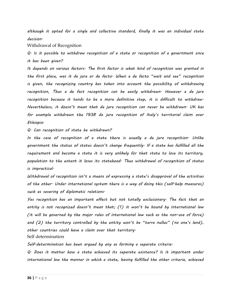*although it opted for a single and collective standard, finally it was an individual state decision.* 

Withdrawal of Recognition

*Q. Is it possible to withdraw recognition of a state or recognition of a government once it has been given?*

*It depends on various factors. The first factor is what kind of recognition was granted in the first place, was it de jure or de facto. When a de facto "wait and see" recognition is given, the recognizing country has taken into account the possibility of withdrawing recognition, Thus a de fact recognition can be easily withdrawn. However a de jure recognition because it tends to be a more definitive step, it is difficult to withdraw. Nevertheless, it doesn't mean that de jure recognition can never be withdrawn. UK has for example withdrawn the 1938 de jure recognition of Italy's territorial claim over Ethiopia.*

*Q. Can recognition of state be withdrawn?*

*In the case of recognition of a state there is usually a de jure recognition. Unlike government the status of states doesn't change frequently. If a state has fulfilled all the requirement and become a state it is very unlikely for that state to lose its territory, population to the extent it loses its statehood. Thus withdrawal of recognition of states is impractical.*

*Withdrawal of recognition isn't a means of expressing a state's disapproval of the activities of the other. Under international system there is a way of doing this (self-help measures) such as severing of diplomatic relations.*

*Yes recognition has an important effect but not totally exclusionary. The fact that an entity is not recognized doesn't mean that; (1) it won't be bound by international law (it will be governed by the major rules of international law such as the non-use of force) and (2) the territory controlled by the entity won't be "terra nullus" (no one's land), other countries could have a claim over that territory.*  Self determination

*Self-determination has been argued by any as forming a separate criteria.*

*Q. Does it matter how a state achieved its separate existence? Is it important under international law the manner in which a state, having fulfilled the other criteria, achieved*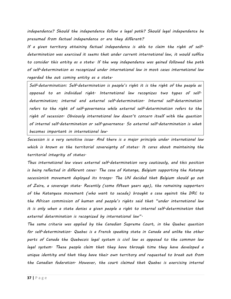*independence? Should the independence follow a legal path? Should legal independence be presumed from factual independence or are they different?*

*If a given territory attaining factual independence is able to claim the right of selfdetermination was exercised it seems that under current international law, it would suffice to consider this entity as a state. If the way independence was gained followed the path of self-determination as recognized under international law in most cases international law regarded the out coming entity as a state.*

*Self-determination: Self-determination is people's right it is the right of the people as opposed to an individual right. International law recognizes two types of selfdetermination; internal and external self-determination. Internal self-determination refers to the right of self-governance while external self-determination refers to the right of secession. Obviously international law doesn't concern itself with the question of internal self-determination or self-governance. So external self-determination is what becomes important in international law.* 

*Secession is a very sensitive issue. And there is a major principle under international law which is known as the territorial sovereignty of states. It cares about maintaining the territorial integrity of states.*

*Thus international law views external self-determination very cautiously, and this position is being reflected in different cases. The case of Katanga, Belgium supporting the Katanga secessionist movement deployed its troops. The UN decided that Belgium should go out of Zaire, a sovereign state. Recently (some fifteen years ago), the remaining supporters of the Katangese movement (who want to secede) brought a case against the DRC to the African commission of human and people's rights said that "under international law it is only when a state denies a given people a right to internal self-determination that external determination is recognized by international law".*

*The same criteria was applied by the Canadian Supreme Court, in the Quebec question for self-determination. Quebec is a French speaking state in Canada and unlike the other parts of Canada the Quebecois legal system is civil law as opposed to the common law legal system. These people claim that they have through time they have developed a unique identity and that they have their own territory and requested to break out from the Canadian federation. However, the court claimed that Quebec is exercising internal*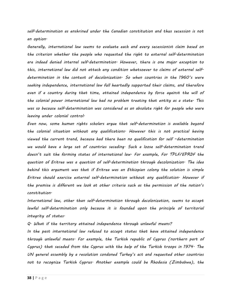*self-determination as enshrined under the Canadian constitution and thus secession is not an option.* 

*Generally, international law seems to evaluate each and every secessionist claim based on the criterion whether the people who requested the right to external self-determination are indeed denied internal self-determination. However, there is one major exception to this, international law did not attach any condition whatsoever to claims of external selfdetermination in the context of decolonization. So when countries in the 1960's were seeking independence, international law full heartedly supported their claims, and therefore even if a country during that time, attained independence by force against the will of the colonial power international law had no problem treating that entity as a state. This was so because self-determination was considered as an absolute right for people who were leaving under colonial control.*

*Even now, some human rights scholars argue that self-determination is available beyond the colonial situation without any qualifications. However this is not practical having viewed the current trend, because had there been no qualification for self –determination we would have a large set of countries seceding. Such a loose self-determination trend doesn't suit the forming states of international law. For example, For TPLF/EPRDF the question of Eritrea was a question of self-determination through decolonization. The idea behind this argument was that if Eritrea was an Ethiopian colony the solution is simple Eritrea should exercise external self-determination without any qualification. However if the premise is different we look at other criteria such as the permission of the nation's constitution.*

*International law, other than self-determination through decolonization, seems to accept*  lawful self-determination only because it is founded upon the principle of territorial *integrity of states.*

*Q. What if the territory attained independence through unlawful means?*

*In the past international law refused to accept states that have attained independence through unlawful means. For example, the Turkish republic of Cyprus (northern part of Cyprus) that seceded from the Cyprus with the help of the Turkish troops in 1974. The UN general assembly by a resolution condoned Turkey's act and requested other countries not to recognize Turkish Cyprus. Another example could be Rhodesia (Zimbabwe), the*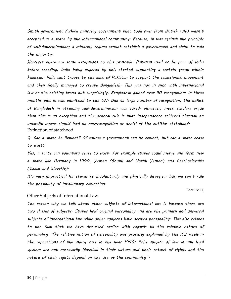*Smith government (white minority government that took over from British rule) wasn't accepted as a state by the international community. Because, it was against the principle of self-determination; a minority regime cannot establish a government and claim to rule the majority.* 

*However there are some exceptions to this principle. Pakistan used to be part of India before seceding, India being angered by this started supporting a certain group within Pakistan. India sent troops to the east of Pakistan to support the secessionist movement and they finally managed to create Bangladesh. This was not in sync with international law or the existing trend but surprisingly, Bangladesh gained over 90 recognitions in three months plus it was admitted to the UN. Due to large number of recognition, the defect of Bangladesh in attaining self-determination was cured. However, most scholars argue that this is an exception and the general rule is that independence achieved through an unlawful means should lead to non-recognition or denial of the entities statehood.*  Extinction of statehood

*Q. Can a state be Extinct? Of course a government can be extinct, but can a state cease to exist?*

*Yes, a state can voluntary cease to exist. For example states could merge and form new a state like Germany in 1990, Yemen (South and North Yemen) and Czechoslovakia (Czech and Slovakia).*

*It's very impractical for states to involuntarily and physically disappear but we can't rule the possibility of involuntary extinction.* 

#### Lecture 11

### Other Subjects of International Law

*The reason why we talk about other subjects of international law is because there are two classes of subjects. States hold original personality and are the primary and universal subjects of international law while other subjects have derived personality. This also relates to the fact that we have discussed earlier with regards to the relative nature of personality. The relative notion of personality was properly explained by the ICJ itself in the reparations of the injury case in the year 1949; "the subject of law in any legal system are not necessarily identical in their nature and their extent of rights and the nature of their rights depend on the use of the community".*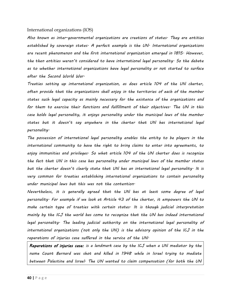### International organizations (IOS)

*Also known as inter-governmental organizations are creations of states. They are entities established by sovereign states. A perfect example is the UN. International organizations are recent phenomenon and the first international organization emerged in 1815. However, the then entities weren't considered to have international legal personality. So the debate as to whether international organizations have legal personality or not started to surface after the Second World War.*

*Treaties setting up international organization, as does article 104 of the UN charter, often provide that the organizations shall enjoy in the territories of each of the member states such legal capacity as mainly necessary for the existence of the organizations and for them to exercise their functions and fulfillment of their objectives. The UN in this case holds legal personality, it enjoys personality under the municipal laws of the member states but it doesn't say anywhere in the charter that UN has international legal personality.*

*The possession of international legal personality enables the entity to be players in the international community to have the right to bring claims to enter into agreements, to enjoy immunities and privileges. So what article 104 of the UN charter does is recognize the fact that UN in this case has personality under municipal laws of the member states but the charter doesn't clearly state that UN has an international legal personality. It is very common for treaties establishing international organizations to contain personality under municipal laws but this was not the contention.* 

*Nevertheless, it is generally agreed that the UN has at least some degree of legal personality. For example if we look at Article 43 of the charter, it empowers the UN to make certain type of treaties with certain states. It is though judicial interpretation mainly by the ICJ the world has come to recognize that the UN has indeed international legal personality. The leading judicial authority on the international legal personality of international organizations (not only the UN) is the advisory opinion of the ICJ in the reparations of injuries case suffered in the service of the UN.*

*Reparations of injuries case: is a landmark case by the ICJ when a UN mediator by the name Count Bernard was shot and killed in 1948 while in Israel trying to mediate between Palestine and Israel. The UN wanted to claim compensation (for both the UN*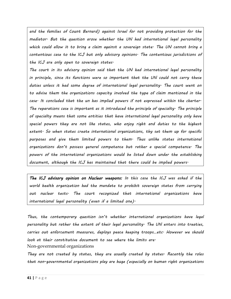*and the families of Count Bernard) against Israel for not providing protection for the mediator. But the question arose whether the UN had international legal personality which could allow it to bring a claim against a sovereign state. The UN cannot bring a contentious case to the ICJ but only advisory opinions. The contentious jurisdictions of the ICJ are only open to sovereign states.*

*The court in its advisory opinion said that the UN had international legal personality in principle, since its functions were so important that the UN could not carry these duties unless it had some degree of international legal personality. The court went on to advise them the organizations capacity involved the type of claim mentioned in the case. It concluded that the un has implied powers if not expressed within the charter. The reparations case is important as it introduced the principle of specialty. The principle of specialty means that some entities that have international legal personality only have special powers they are not like states, who enjoy right and duties to the highest extent. So when states create international organizations, thy set them up for specific purposes and give them limited powers to them. Thus unlike states international organizations don't possess general competence but rather a special competence. The powers of the international organizations would be listed down under the establishing document, although the ICJ has maintained that there could be implied powers.* 

*The ICJ advisory opinion on Nuclear weapons: In this case the ICJ was asked if the world health organization had the mandate to prohibit sovereign states from carrying out nuclear tests. The court recognized that international organizations have international legal personality (even if a limited one).*

*Thus, the contemporary question isn't whether international organizations have legal personality but rather the extent of their legal personality. The UN enters into treaties, carries out enforcement measures, deploys peace keeping troops…etc. However we should look at their constitutive document to see where the limits are.* Non-governmental organizations

*They are not created by states, they are usually created by states. Recently the roles that non-governmental organizations play are huge (especially on human right organizations*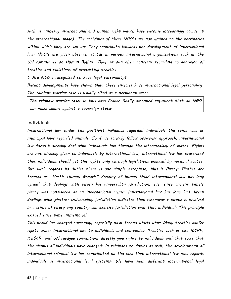*such as amnesty international and human right watch have become increasingly active at the international stage). The activities of these NGO's are not limited to the territories within which they are set up. They contribute towards the development of international law. NGO's are given observer status in various international organizations such as the UN committee on Human Rights. They air out their concerns regarding to adoption of treaties and violations of preexisting treaties.*

*Q Are NGO's recognized to have legal personality?*

*Recent developments have shown that these entities have international legal personality. The rainbow warrior case is usually cited as a pertinent case.*

*The rainbow warrior case: In this case France finally accepted argument that an NGO can make claims against a sovereign state.* 

### Individuals

*International law under the positivist influence regarded individuals the same was as municipal laws regarded animals. So if we strictly follow positivist approach, international law doesn't directly deal with individuals but through the intermediacy of states. Rights are not directly given to individuals by international law, international law has prescribed that individuals should get this rights only through legislations enacted by national states. But with regards to duties there is one simple exception, this is Piracy. Pirates are termed as "Hostis Human Generis" /enemy of human kind/ International law has long agreed that dealings with piracy has universality jurisdiction, ever since ancient time's piracy was considered as an international crime. International law has long had direct dealings with pirates. Universality jurisdiction indicates that whenever a pirate is involved in a crime of piracy any country can exercise jurisdiction over that individual. This principle existed since time immemorial.*

*This trend has changed currently, especially post Second World War. Many treaties confer rights under international law to individuals and companies. Treaties such as the ICCPR, ICESCR, and UN refugee conventions directly give rights to individuals and that sows that the status of individuals have changed. In relations to duties as well, the development of international criminal law has contributed to the idea that international law now regards individuals as international legal systems. We have seen different international legal*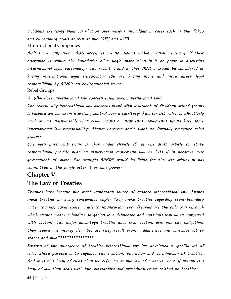*tribunals exercising their jurisdiction over various individuals in cases such as the Tokyo and Nuremburg trials as well as the ICTY and ICTR.*  Multi-national Companies

*MNC's are companies, whose activities are not bound within a single territory. If their operation is within the boundaries of a single state then it is no point in discussing international legal personality. The recent trend is that MNC's should be considered as having international legal personality. We are having more and more direct legal responsibility by MNC's on environmental issues.* Rebel Groups

*Q. Why does international law concern itself with international law?*

*The reason why international law concerns itself with insurgent of dissident armed groups is because we see them exercising control over a territory. Plus for IHL rules to effectively work it was indispensable that rebel groups or insurgents movements should have some international law responsibility. States however don't want to formally recognize rebel groups.*

*One very important point is that under Article 10 of the draft article on state responsibility provide that an insurrection movement will be held if it becomes new government of state. For example EPRDF would be liable for the war crimes it has committed in the jungle after it attains power.*

# **Chapter V The Law of Treaties**

*Treaties have become the most important source of modern international law. States make treaties on every conceivable topic. They make treaties regarding trans-boundary water courses, outer space, trade communication…etc. Treaties are the only way through which states create a binding obligation in a deliberate and conscious way when compared with custom. The major advantage treaties have over custom are; one the obligations they create are mostly clear because they result from a deliberate and conscious act of states and two????????????????*

*Because of the emergence of treaties international law has developed a specific set of rules whose purpose is to regulate the creation, operation and termination of treaties. And it is this body of rules that we refer to as the law of treaties. Law of treaty is a body of law that deals with the substantive and procedural issues related to treaties.*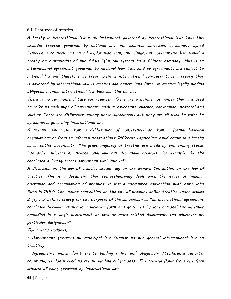### 6.1. Features of treaties

*A treaty in international law is an instrument governed by international law. Thus this excludes treaties governed by national law. For example concession agreement signed between a country and an oil exploration company. Ethiopian government has signed a treaty on outsourcing of the Addis light rail system to a Chinese company, this is an international agreement governed by national law. This kind of agreements are subject to national law and therefore we treat them as international contract. Once a treaty that is governed by international law is created and enters into force, it creates legally binding obligations under international law between the parties.*

*There is no set nomenclature for treaties. There are a number of names that are used to refer to such type of agreements, such as covenants, charter, convention, protocol and statue. There are differences among these agreements but they are all used to refer to agreements governing international law.*

*A treaty may arise from a deliberation of conferences or from a formal bilateral negotiations or from an informal negotiations. Different happenings could result in a treaty as an outlet document. The great majority of treaties are made by and among states but other subjects of international law can also make treaties. For example the UN concluded a headquarters agreement with the US.* 

*A discussion on the law of treaties should rely on the Geneva Convention on the law of treaties. This is a document that comprehensively deals with the issues of making, operation and termination of treaties. It was a specialized convention that came into force in 1997. The Vienna convention on the law of treaties define treaties under article 2 (1) /a/ defines treaty for the purposes of the convention as "an international agreement concluded between states in a written form and governed by international law whether embodied in a single instrument or two or more related documents and whatever its particular designation".*

*The treaty excludes;*

*- Agreements governed by municipal law (similar to the general international law on treaties)*

*- Agreements which don't create binding rights and obligation. (Conference reports, communiques don't tend to create binding obligations). This criteria flows from the first criteria of being governed by international law.*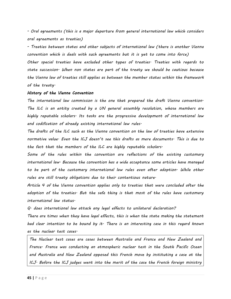*- Oral agreements (this is a major departure from general international law which considers oral agreements as treaties)*

*- Treaties between states and other subjects of international law (there is another Vienna convention which is deals with such agreements but it is yet to come into force)*

*Other special treaties have excluded other types of treaties. Treaties with regards to state succession. When non states are part of the treaty we should be cautious because the Vienna law of treaties still applies as between the member states within the framework of the treaty.*

### *History of the Vienna Convention*

*The international law commission is the one that prepared the draft Vienna convention. The ILC is an entity created by a UN general assembly resolution, whose members are highly reputable scholars. Its tasks are the progressive development of international law and codification of already existing international law rules.*

*The drafts of the ILC such as the Vienna convention on the law of treaties have extensive normative value. Even the ICJ doesn't see this drafts as mere documents. This is due to the fact that the members of the ILC are highly reputable scholars.*

*Some of the rules within the convention are reflections of the existing customary international law. Because the convention has a wide acceptance some articles have managed to be part of the customary international law rules even after adoption. While other rules are still treaty obligations due to their contentious nature.*

*Article 4 of the Vienna convention applies only to treaties that were concluded after the adoption of the treaties. But the safe thing is that most of the rules have customary international law status.* 

*Q. does international law attach any legal effects to unilateral declaration?*

*There are times when they have legal effects, this is when the state making the statement had clear intention to be bound by it. There is an interesting case in this regard known as the nuclear test cases.*

*The Nuclear test cases are cases between Australia and France and New Zealand and France. France was conducting an atmospheric nuclear test in the South Pacific Ocean and Australia and New Zealand opposed this French move by instituting a case at the ICJ. Before the ICJ judges went into the merit of the case the French foreign ministry*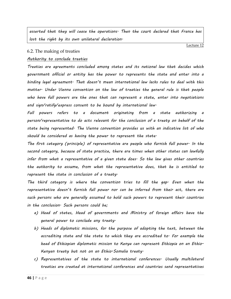*asserted that they will cease the operations. Then the court declared that France has lost the right by its own unilateral declaration.* 

Lecture 12

### 6.2. The making of treaties

### *Authority to conclude treaties*

*Treaties are agreements concluded among states and its national law that decides which government official or entity has the power to represents the state and enter into a binding legal agreement. That doesn't mean international law lacks rules to deal with this matter. Under Vienna convention on the law of treaties the general rule is that people who have full powers are the ones that can represent a state, enter into negotiations and sign/ratify/express consent to be bound by international law.*

*Full powers refers to a document originating from a state authorizing a person/representative to do acts relevant for the conclusion of a treaty on behalf of the state being represented. The Vienna convention provides us with an indicative list of who should be considered as having the power to represent the state.*

*The first category (principle) of representative are people who furnish full power. In the second category, because of state practice, there are times when other states can lawfully infer from what a representative of a given state does. So the law gives other countries the authority to assume, from what the representative does, that he is entitled to represent the state in conclusion of a treaty.* 

*The third category is where the convention tries to fill the gap. Even when the representative doesn't furnish full power nor can be inferred from their act, there are such persons who are generally assumed to hold such powers to represent their countries in the conclusion. Such persons could be;*

- *a) Head of states, Head of governments and Ministry of foreign affairs have the general power to conclude any treaty.*
- *b) Heads of diplomatic missions, for the purpose of adopting the text, between the accrediting state and the state to which they are accredited to. For example the head of Ethiopian diplomatic mission to Kenya can represent Ethiopia on an Ethio-Kenyan treaty but not on an Ethio-Somalia treaty.*
- *c) Representatives of the state to international conferences. Usually multilateral treaties are created at international conferences and countries send representatives*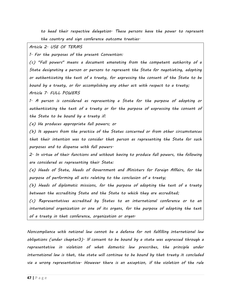*to head their respective delegation. These persons have the power to represent the country and sign conference outcome treaties.* 

*Article 2. USE OF TERMS*

*1. For the purposes of the present Convention:*

*(c) "Full powers" means a document emanating from the competent authority of a State designating a person or persons to represent the State for negotiating, adopting or authenticating the text of a treaty, for expressing the consent of the State to be bound by a treaty, or for accomplishing any other act with respect to a treaty; Article 7. FULL POWERS*

*1. A person is considered as representing a State for the purpose of adopting or authenticating the text of a treaty or for the purpose of expressing the consent of the State to be bound by a treaty if:*

*(a) He produces appropriate full powers; or*

*(b) It appears from the practice of the States concerned or from other circumstances that their intention was to consider that person as representing the State for such purposes and to dispense with full powers.*

*2. In virtue of their functions and without having to produce full powers, the following are considered as representing their State:*

*(a) Heads of State, Heads of Government and Ministers for Foreign Affairs, for the purpose of performing all acts relating to the conclusion of a treaty;*

*(b) Heads of diplomatic missions, for the purpose of adopting the text of a treaty between the accrediting State and the State to which they are accredited;*

*(c) Representatives accredited by States to an international conference or to an international organization or one of its organs, for the purpose of adopting the text of a treaty in that conference, organization or organ.*

*Noncompliance with national law cannot be a defense for not fulfilling international law obligations (under chapter3). If consent to be bound by a state was expressed through a*  representative in violation of what domestic law prescribes, the principle under *international law is that, the state will continue to be bound by that treaty it concluded via a wrong representative. However there is an exception, if the violation of the rule*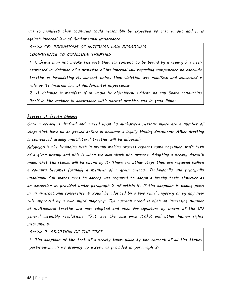*was so manifest that countries could reasonably be expected to cast it out and it is against internal law of fundamental importance.* 

*Article 46. PROVISIONS OF INTERNAL LAW REGARDING*

*COMPETENCE TO CONCLUDE TREATIES*

*1. A State may not invoke the fact that its consent to be bound by a treaty has been expressed in violation of a provision of its internal law regarding competence to conclude treaties as invalidating its consent unless that violation was manifest and concerned a rule of its internal law of fundamental importance.*

*2. A violation is manifest if it would be objectively evident to any State conducting itself in the matter in accordance with normal practice and in good faith.*

# *Process of Treaty Making*

*Once a treaty is drafted and agreed upon by authorized persons there are a number of steps that have to be passed before it becomes a legally binding document. After drafting is completed usually multilateral treaties will be adopted.*

*Adoption is the beginning test in treaty making process experts come together draft text of a given treaty and this is when we kick start the process. Adopting a treaty doesn't mean that the states will be bound by it. There are other steps that are required before a country becomes formally a member of a given treaty. Traditionally and principally unanimity (all states need to agree) was required to adopt a treaty text. However as an exception as provided under paragraph 2 of article 9, if the adoption is taking place in an international conference it would be adopted by a two third majority or by any new rule approved by a two third majority. The current trend is that an increasing number of multilateral treaties are now adopted and open for signature by means of the UN general assembly resolutions. That was the case with ICCPR and other human rights instrument.* 

# *Article 9. ADOPTION OF THE TEXT*

*1. The adoption of the text of a treaty takes place by the consent of all the States participating in its drawing up except as provided in paragraph 2.*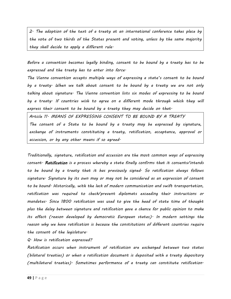*2. The adoption of the text of a treaty at an international conference takes place by the vote of two thirds of the States present and voting, unless by the same majority they shall decide to apply a different rule.*

*Before a convention becomes legally binding, consent to be bound by a treaty has to be expressed and the treaty has to enter into force.*

*The Vienna convention accepts multiple ways of expressing a state's consent to be bound by a treaty. When we talk about consent to be bound by a treaty we are not only talking about signature. The Vienna convention lists six modes of expressing to be bound by a treaty. If countries wish to agree on a different mode through which they will express their consent to be bound by a treaty they may decide on that.*

*Article 11. MEANS OF EXPRESSING CONSENT TO BE BOUND BY A TREATY The consent of a State to be bound by a treaty may be expressed by signature, exchange of instruments constituting a treaty, ratification, acceptance, approval or accession, or by any other means if so agreed.*

*Traditionally, signature, ratification and accession are the most common ways of expressing consent. Ratification is a process whereby a state finally confirms that it consents/intends to be bound by a treaty that it has previously signed. So ratification always follows signature. Signature by its own may or may not be considered as an expression of consent to be bound. Historically, with the lack of modern communication and swift transportation, ratification was required to check/prevent diplomats exceeding their instructions or mandates. Since 1800 ratification was used to give the head of state time of thought plus the delay between signature and ratification gave a chance for public opinion to make its effect (reason developed by democratic European states). In modern settings the reason why we have ratification is because the constitutions of different countries require the consent of the legislature.*

*Q. How is ratification expressed?*

*Ratification occurs when instrument of ratification are exchanged between two states (bilateral treaties) or when a ratification document is deposited with a treaty depository (multilateral treaties). Sometimes performance of a treaty can constitute ratification.*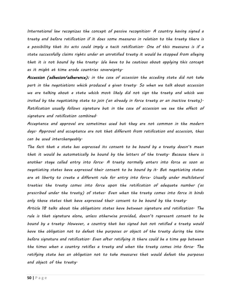*International law recognizes the concept of passive recognition. A country having signed a treaty and before ratification if it does some measures in relation to the treaty there is a possibility that its acts could imply a tacit ratification. One of this measures is if a state successfully claims rights under an unratified treaty it would be stopped from alleging that it is not bound by the treaty. We have to be cautious about applying this concept as it might at time erode countries sovereignty.*

*Accession (adhesion/adherence): in the case of accession the acceding state did not take part in the negotiations which produced a given treaty. So when we talk about accession we are talking about a state which most likely did not sign the treaty and which was invited by the negotiating state to join (an already in force treaty or an inactive treaty). Ratification usually follows signature but in the case of accession we see the effect of signature and ratification combined.*

*Acceptance and approval are sometimes used but they are not common in the modern days. Approval and acceptance are not that different from ratification and accession, thus can be used interchangeably.*

*The fact that a state has expressed its consent to be bound by a treaty doesn't mean that it would be automatically be bound by the letters of the treaty. Because there is another stage called entry into force. A treaty normally enters into force as soon as negotiating states have expressed their consent to be bound by it. But negotiating states are at liberty to create a different rule for entry into force. Usually under multilateral treaties the treaty comes into force upon the ratification of adequate number (as prescribed under the treaty) of states. Even when the treaty comes into force it binds only those states that have expressed their consent to be bound by the treaty.*

*Article 18 talks about the obligations states have between signature and ratification. The rule is that signature alone, unless otherwise provided, doesn't represent consent to be bound by a treaty. However, a country that has signed but not ratified a treaty would have the obligation not to defeat the purposes or object of the treaty during the time before signature and ratification. Even after ratifying it there could be a time gap between the times when a country ratifies a treaty and when the treaty comes into force. The ratifying state has an obligation not to take measures that would defeat the purposes and object of the treaty.*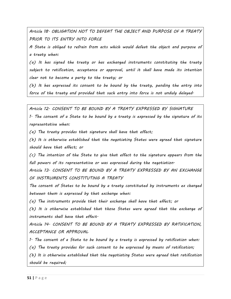*Article 18. OBLIGATION NOT TO DEFEAT THE OBJECT AND PURPOSE OF A TREATY PRIOR TO ITS ENTRY INTO FORCE*

*A State is obliged to refrain from acts which would defeat the object and purpose of a treaty when:*

*(a) It has signed the treaty or has exchanged instruments constituting the treaty subject to ratification, acceptance or approval, until it shall have made its intention clear not to become a party to the treaty; or*

*(b) It has expressed its consent to be bound by the treaty, pending the entry into force of the treaty and provided that such entry into force is not unduly delayed.*

*Article 12. CONSENT TO BE BOUND BY A TREATY EXPRESSED BY SIGNATURE*

*1. The consent of a State to be bound by a treaty is expressed by the signature of its representative when:*

*(a) The treaty provides that signature shall have that effect;*

*(b) It is otherwise established that the negotiating States were agreed that signature should have that effect; or*

*(c) The intention of the State to give that effect to the signature appears from the full powers of its representative or was expressed during the negotiation.*

*Article 13. CONSENT TO BE BOUND BY A TREATY EXPRESSED BY AN EXCHANGE OF INSTRUMENTS CONSTITUTING A TREATY*

*The consent of States to be bound by a treaty constituted by instruments ex changed between them is expressed by that exchange when:*

*(a) The instruments provide that their exchange shall have that effect; or*

*(b) It is otherwise established that those States were agreed that the exchange of instruments shall have that effect.*

*Article 14. CONSENT TO BE BOUND BY A TREATY EXPRESSED BY RATIFICATION, ACCEPTANCE OR APPROVAL*

*1. The consent of a State to be bound by a treaty is expressed by ratification when:*

*(a) The treaty provides for such consent to be expressed by means of ratification;*

*(b) It is otherwise established that the negotiating States were agreed that ratification should be required;*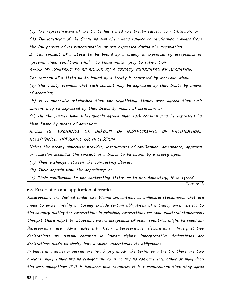*(c) The representative of the State has signed the treaty subject to ratification; or (d) The intention of the State to sign the treaty subject to ratification appears from the full powers of its representative or was expressed during the negotiation. 2. The consent of a State to be bound by a treaty is expressed by acceptance or approval under conditions similar to those which apply to ratification. Article 15. CONSENT TO BE BOUND BY A TREATY EXPRESSED BY ACCESSION The consent of a State to be bound by a treaty is expressed by accession when: (a) The treaty provides that such consent may be expressed by that State by means of accession; (b) It is otherwise established that the negotiating States were agreed that such consent may be expressed by that State by means of accession; or (c) All the parties have subsequently agreed that such consent may be expressed by that State by means of accession. Article 16. EXCHANGE OR DEPOSIT OF INSTRUMENTS OF RATIFICATION, ACCEPTANCE, APPROVAL OR ACCESSION Unless the treaty otherwise provides, instruments of ratification, acceptance, approval or accession establish the consent of a State to be bound by a treaty upon: (a) Their exchange between the contracting States; (b) Their deposit with the depositary; or (c) Their notification to the contracting States or to the depositary, if so agreed*

Lecture 13

### 6.3. Reservation and application of treaties

*Reservations are defined under the Vienna conventions as unilateral statements that are made to either modify or totally exclude certain obligations of a treaty with respect to the country making the reservation. In principle, reservations are still unilateral statements thought there might be situations where acceptance of other countries might be required. Reservations are quite different from interpretative declarations. Interpretative declarations are usually common in human rights. Interpretative declarations are declarations made to clarify how a state understands its obligations.* 

*In bilateral treaties if parties are not happy about the terms of a treaty, there are two options, they either try to renegotiate so as to try to convince each other or they drop the case altogether. If it is between two countries it is a requirement that they agree*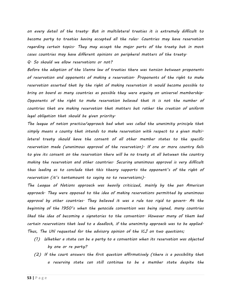*on every detail of the treaty. But in multilateral treaties it is extremely difficult to become party to treaties having accepted all the rules. Countries may have reservation regarding certain topics. They may accept the major parts of the treaty but in most cases countries may have different opinions on peripheral matters of the treaty.*

*Q. So should we allow reservations or not?*

*Before the adoption of the Vienna law of treaties there was tension between proponents of reservation and opponents of making a reservation. Proponents of the right to make reservation asserted that by the right of making reservation it would become possible to bring on board as many countries as possible they were arguing on universal membership. Opponents of the right to make reservation believed that it is not the number of countries that are making reservation that matters but rather the creation of uniform legal obligation that should be given priority.*

*The league of nation practice/approach had what was called the unanimity principle that simply means a county that intends to make reservation with respect to a given multilateral treaty should have the consent of all other member states to the specific reservation made (unanimous approval of the reservation). If one or more country fails to give its consent on the reservation there will be no treaty at all between the country making the reservation and other countries. Securing unanimous approval is very difficult thus leading as to conclude that this theory supports the opponent's of the right of reservation (it's tantamount to saying no to reservations).* 

*The League of Nations approach was heavily criticized, mainly by the pan American approach. They were opposed to the idea of making reservations permitted by unanimous approval by other countries. They believed it was a rule too rigid to govern. At the beginning of the 1950's when the genocide convention was being signed, many countries liked the idea of becoming a signatories to the convention. However many of them had certain reservations that lead to a deadlock, if the unanimity approach was to be applied. Thus, The UN requested for the advisory opinion of the ICJ on two questions;* 

- *(1) Whether a state can be a party to a convention when its reservation was objected by one or re party?*
- *(2) If the court answers the first question affirmatively (there is a possibility that a reserving state can still continue to be a member state despite the*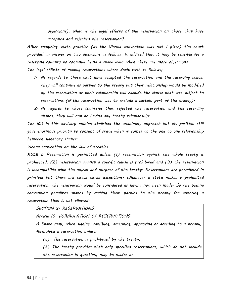*objections), what is the legal effects of the reservation on those that have accepted and rejected the reservation?*

*After analyzing state practice (as the Vienna convention was not I place) the court provided an answer on two questions as follows. It advised that it may be possible for a reserving country to continue being a state even when there are more objections. The legal effects of making reservations where dealt with as follows;*

- *1. As regards to those that have accepted the reservation and the reserving state, they will continue as parties to the treaty but their relationship would be modified by the reservation or their relationship will exclude the clause that was subject to reservations (if the reservation was to exclude a certain part of the treaty).*
- *2. As regards to those countries that rejected the reservation and the reserving states, they will not be having any treaty relationship.*

*The ICJ in this advisory opinion abolished the unanimity approach but its position still gave enormous priority to consent of state when it comes to the one to one relationship between signatory states.*

*Vienna convention on the law of treaties*

*RULE I: Reservation is permitted unless (1) reservation against the whole treaty is prohibited, (2) reservation against a specific clause is prohibited and (3) the reservation is incompatible with the object and purpose of the treaty. Reservations are permitted in principle but there are these three exceptions. Whenever a state makes a prohibited reservation, the reservation would be considered as having not been made. So the Vienna convention penalizes states by making them parties to the treaty for entering a reservation that is not allowed.* 

*SECTION 2. RESERVATIONS*

*Article 19. FORMULATION OF RESERVATIONS*

*A State may, when signing, ratifying, accepting, approving or acceding to a treaty, formulate a reservation unless:*

*(a) The reservation is prohibited by the treaty;*

*(b) The treaty provides that only specified reservations, which do not include the reservation in question, may be made; or*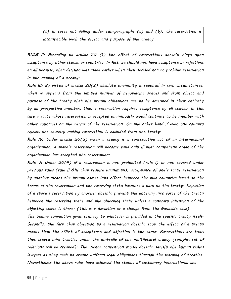*(c) In cases not falling under sub-paragraphs (a) and (b), the reservation is incompatible with the object and purpose of the treaty*

*RULE II: According to article 20 (1) the effect of reservations doesn't hinge upon acceptance by other states or countries. In fact we should not have acceptance or rejections at all because, that decision was made earlier when they decided not to prohibit reservation in the making of a treaty.* 

*Rule III: By virtue of article 20(2) absolute unanimity is required in two circumstances; when it appears from the limited number of negotiating states and from object and purpose of the treaty that the treaty obligations are to be accepted in their entirety by all prospective members then a reservation requires acceptance by all states. In this case a state whose reservation is accepted unanimously would continue to be member with other countries on the terms of the reservation. On the other hand if even one country rejects the country making reservation is excluded from the treaty.*

*Rule IV: Under article 20(3) when a treaty is a constitutive act of an international organization, a state's reservation will become valid only if that competent organ of the organization has accepted the reservation.*

*Rule V: Under 20(4) if a reservation is not prohibited (rule I) or not covered under previous rules (rule II &III that require unanimity), acceptance of one's state reservation by another means the treaty comes into effect between the two countries based on the terms of the reservation and the reserving state becomes a part to the treaty. Rejection of a state's reservation by another doesn't prevent the entering into force of the treaty between the reserving state and the objecting state unless a contrary intention of the objecting state is there. (This is a deviation or a change from the Genocide case)*

*The Vienna convention gives primacy to whatever is provided in the specific treaty itself. Secondly, the fact that objection to a reservation doesn't stop the effect of a treaty means that the effect of acceptance and objection is the same. Reservations are tools that create mini treaties under the umbrella of one multilateral treaty (complex set of relations will be created). The Vienna convention model doesn't satisfy the human rights lawyers as they seek to create uniform legal obligations through the working of treaties. Nevertheless the above rules have achieved the status of customary international law.*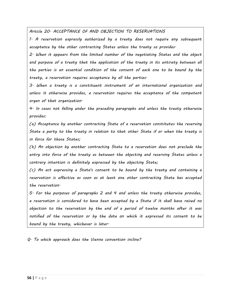*Article 20. ACCEPTANCE OF AND OBJECTION TO RESERVATIONS*

*1. A reservation expressly authorized by a treaty does not require any subsequent acceptance by the other contracting States unless the treaty so provides.*

*2. When it appears from the limited number of the negotiating States and the object and purpose of a treaty that the application of the treaty in its entirety between all the parties is an essential condition of the consent of each one to be bound by the treaty, a reservation requires acceptance by all the parties.*

*3. When a treaty is a constituent instrument of an international organization and unless it otherwise provides, a reservation requires the acceptance of the competent organ of that organization.*

*4. In cases not falling under the preceding paragraphs and unless the treaty otherwise provides:*

*(a) Acceptance by another contracting State of a reservation constitutes the reserving State a party to the treaty in relation to that other State if or when the treaty is in force for those States;*

*(b) An objection by another contracting State to a reservation does not preclude the entry into force of the treaty as between the objecting and reserving States unless a contrary intention is definitely expressed by the objecting State;*

*(c) An act expressing a State's consent to be bound by the treaty and containing a reservation is effective as soon as at least one other contracting State has accepted the reservation.*

*5. For the purposes of paragraphs 2 and 4 and unless the treaty otherwise provides, a reservation is considered to have been accepted by a State if it shall have raised no objection to the reservation by the end of a period of twelve months after it was notified of the reservation or by the date on which it expressed its consent to be bound by the treaty, whichever is later.*

*Q. To which approach does the Vienna convention incline?*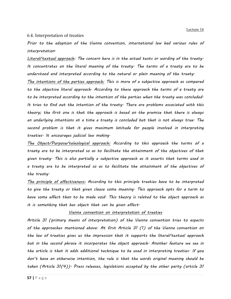#### 6.4. Interpretation of treaties

*Prior to the adoption of the Vienna convention, international law had various rules of interpretation.*

*Literal/textual approach: The concern here is in the actual texts or wording of the treaty. It concentrates on the literal meaning of the treaty. The terms of a treaty are to be understood and interpreted according to the natural or plain meaning of the treaty.*

*The intentions of the parties approach: This is more of a subjective approach as compared to the objective literal approach. According to these approach the terms of a treaty are to be interpreted according to the intention of the parties when the treaty was concluded. It tries to find out the intention of the treaty. There are problems associated with this theory; the first one is that the approach is based on the premise that there is always an underlying intentions at a time a treaty is concluded but that is not always true. The second problem is that it gives maximum latitude for people involved in interpreting treaties. It encourages judicial law making.*

*The Object/Purpose/teleological approach: According to this approach the terms of a treaty are to be interpreted so as to facilitate the attainment of the objectives of that given treaty. This is also partially a subjective approach as it asserts that terms used in a treaty are to be interpreted so as to facilitate the attainment of the objectives of the treaty.*

*The principle of effectiveness: According to this principle treaties have to be interpreted to give the treaty or that given clause some meaning. This approach opts for a term to have some effect than to be made void. This theory is related to the object approach as it is something that has object that can be given effect.*

### *Vienna convention on interpretation of treaties*

*Article 31 (primary means of interpretation) of the Vienna convention tries to aspects of the approaches mentioned above. At first Article 31 (1) of the Vienna convention on the law of treaties gives us the impression that it supports the literal/textual approach but in the second phrase it incorporates the object approach. Another feature we see in the article is that it adds additional technique to be used in interpreting treaties. If you don't have an otherwise intention, the rule is that the words original meaning should be taken (Article 31(4)). Press releases, legislations accepted by the other party (article 31*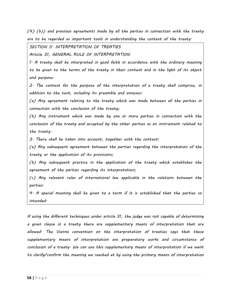*(4) (b)) and previous agreements made by all the parties in connection with the treaty are to be regarded as important tools in understanding the context of the treaty.* 

*SECTION 3. INTERPRETATION OF TREATIES*

*Article 31, GENERAL RULE OF INTERPRETATION*

*1. A treaty shall be interpreted in good faith in accordance with the ordinary meaning to be given to the terms of the treaty in their context and in the light of its object and purpose.*

*2. The context for the purpose of the interpretation of a treaty shall comprise, in addition to the text, including its preamble and annexes:*

*(a) Any agreement relating to the treaty which was made between all the parties in connection with the conclusion of the treaty;*

*(b) Any instrument which was made by one or more parties in connection with the conclusion of the treaty and accepted by the other parties as an instrument related to the treaty.*

*3. There shall be taken into account, together with the context:*

*(a) Any subsequent agreement between the parties regarding the interpretation of the treaty or the application of its provisions;*

*(b) Any subsequent practice in the application of the treaty which establishes the agreement of the parties regarding its interpretation;*

*(c) Any relevant rules of international law applicable in the relations between the parties.*

*4. A special meaning shall be given to a term if it is established that the parties so intended.*

*If using the different techniques under article 31, the judge was not capable of determining a given clause in a treaty there are supplementary means of interpretation that are allowed. The Vienna convention on the interpretation of treaties says that these supplementary means of interpretation are preparatory works and circumstance of conclusion of a treaty. We can use this supplementary means of interpretation if we want to clarify/confirm the meaning we reached at by using the primary means of interpretation*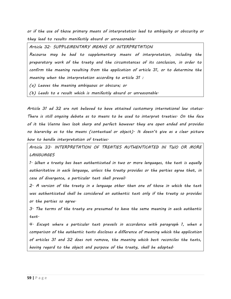*or if the use of those primary means of interpretation lead to ambiguity or obscurity or they lead to results manifestly absurd or unreasonable.*

*Article 32. SUPPLEMENTARY MEANS OF INTERPRETATION*

*Recourse may be had to supplementary means of interpretation, including the preparatory work of the treaty and the circumstances of its conclusion, in order to confirm the meaning resulting from the application of article 31, or to determine the meaning when the interpretation according to article 31 :*

*(a) Leaves the meaning ambiguous or obscure; or*

*(b) Leads to a result which is manifestly absurd or unreasonable.*

*Article 31 ad 32 are not believed to have attained customary international law status. There is still ongoing debate as to means to be used to interpret treaties. On the face of it the Vienna laws look sharp and perfect however they are open ended and provides no hierarchy as to the means (contextual or object). It doesn't give as a clear picture how to handle interpretation of treaties.*

*Article 33. INTERPRETATION OF TREATIES AUTHENTICATED IN TWO OR MORE LANGUAGES*

*1. When a treaty has been authenticated in two or more languages, the text is equally authoritative in each language, unless the treaty provides or the parties agree that, in case of divergence, a particular text shall prevail.*

*2. A version of the treaty in a language other than one of those in which the text was authenticated shall be considered an authentic text only if the treaty so provides or the parties so agree.*

*3. The terms of the treaty are presumed to have the same meaning in each authentic text.*

*4. Except where a particular text prevails in accordance with paragraph 1, when a comparison of the authentic texts discloses a difference of meaning which the application of articles 31 and 32 does not remove, the meaning which best reconciles the texts, having regard to the object and purpose of the treaty, shall be adopted.*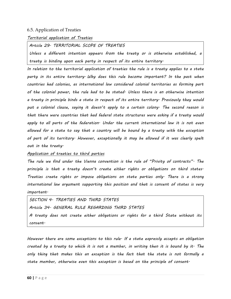### 6.5. Application of Treaties

### *Territorial application of Treaties*

*Article 29. TERRITORIAL SCOPE OF TREATIES*

*Unless a different intention appears from the treaty or is otherwise established, a treaty is binding upon each party in respect of its entire territory.*

*In relation to the territorial application of treaties the rule is a treaty applies to a state party in its entire territory. Why does this rule become important? In the past when countries had colonies, as international law considered colonial territories as forming part of the colonial power, the rule had to be stated. Unless there is an otherwise intention a treaty in principle binds a state in respect of its entire territory. Previously they would put a colonial clause, saying it doesn't apply to a certain colony. The second reason is that there were countries that had federal state structures were asking if a treaty would apply to all parts of the federation. Under the current international law it is not even allowed for a state to say that a country will be bound by a treaty with the exception of part of its territory. However, exceptionally it may be allowed if it was clearly spelt out in the treaty.*

*Application of treaties to third parties*

*The rule we find under the Vienna convention is the rule of "Privity of contracts". The principle is that a treaty doesn't create either rights or obligations on third states. Treaties create rights or impose obligations on state parties only. There is a strong international law argument supporting this position and that is consent of states is very important.*

*SECTION 4. TREATIES AND THIRD STATES Article 34. GENERAL RULE REGARDING THIRD STATES A treaty does not create either obligations or rights for a third State without its consent.*

*However there are some exceptions to this rule. If a state expressly accepts an obligation created by a treaty to which it is not a member, in writing then it is bound by it. The only thing that makes this an exception is the fact that the state is not formally a state member, otherwise even this exception is based on the principle of consent.*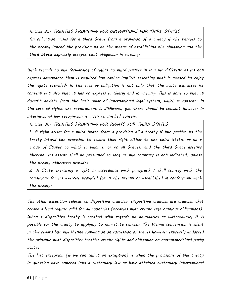*Article 35. TREATIES PROVIDING FOR OBLIGATIONS FOR THIRD STATES An obligation arises for a third State from a provision of a treaty if the parties to the treaty intend the provision to be the means of establishing the obligation and the third State expressly accepts that obligation in writing.*

*With regards to the forwarding of rights to third parties it is a bit different as its not express acceptance that is required but rather implicit assenting that is needed to enjoy the rights provided. In the case of obligation is not only that the state expresses its*  consent but also that it has to express it clearly and in writing<sup>.</sup> This is done so that it *doesn't deviate from the basic pillar of international legal system, which is consent. In the case of rights the requirement is different, yes there should be consent however in international law recognition is given to implied consent.*

*Article 36. TREATIES PROVIDING FOR RIGHTS FOR THIRD STATES*

*1. A right arises for a third State from a provision of a treaty if the parties to the treaty intend the provision to accord that right either to the third State, or to a group of States to which it belongs, or to all States, and the third State assents thereto. Its assent shall be presumed so long as the contrary is not indicated, unless the treaty otherwise provides.*

*2. A State exercising a right in accordance with paragraph 1 shall comply with the conditions for its exercise provided for in the treaty or established in conformity with the treaty.*

*The other exception relates to dispositive treaties. Dispositive treaties are treaties that create a legal regime valid for all countries (treaties that create erga omnious obligations). When a dispositive treaty is created with regards to boundaries or watercourse, it is possible for the treaty to applying to non-state parties. The Vienna convention is silent in this regard but the Vienna convention on succession of states however expressly endorsed the principle that dispositive treaties create rights and obligation on non-state/third party states.*

*The last exception (if we can call it an exception) is when the provisions of the treaty in question have entered into a customary law or have attained customary international*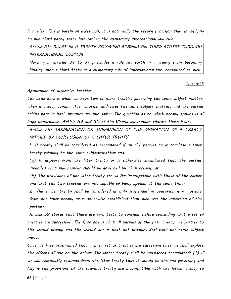*law rules. This is barely an exception, it is not really the treaty provision that is applying to the third party state but rather the customary international law rule.*

*Article 38. RULES IN A TREATY BECOMING BINDING ON THIRD STATES THROUGH INTERNATIONAL CUSTOM*

*Nothing in articles 34 to 37 precludes a rule set forth in a treaty from becoming binding upon a third State as a customary rule of international law, recognized as such.*

Lecture 15

### *Application of successive treaties*

*The issue here is when we have two or more treaties governing the same subject matter, when a treaty coming after another addresses the same subject matter, and the parties taking part in both treaties are the same. The question as to which treaty applies is of huge importance. Article 59 and 30 of the Vienna convention address these issues.*

*Article 59. TERMINATION OR SUSPENSION OF THE OPERATION OF A TREATY IMPLIED BY CONCLUSION OF A LATER TREATY*

*1. A treaty shall be considered as terminated if all the parties to it conclude a later treaty relating to the same subject-matter and:*

*(a) It appears from the later treaty or is otherwise established that the parties intended that the matter should be governed by that treaty; or*

*(b) The provisions of the later treaty are so far incompatible with those of the earlier one that the two treaties are not capable of being applied at the same time.*

*2. The earlier treaty shall be considered as only suspended in operation if it appears from the later treaty or is otherwise established that such was the intention of the parties.*

*Article 59 states that there are two tests to consider before concluding that a set of treaties are successive. The first one is that all parties of the first treaty are parties to the second treaty and the second one is that bot treaties deal with the same subject matter.* 

*Once we have ascertained that a given set of treaties are successive ones we shall explore the effects of one on the other. The latter treaty shall be considered terminated; (1) if we can reasonably assumed from the later treaty that it should be the one governing and (2) if the provisions of the previous treaty are incompatible with the latter treaty so*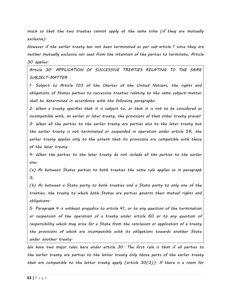*much so that the two treaties cannot apply at the same time (if they are mutually exclusive).*

*However if the earlier treaty has not been terminated as per sub-article 1 since they are neither mutually exclusive nor seen from the intention of the parties to terminate, Article 30 applies.* 

*Article 30. APPLICATION OF SUCCESSIVE TREATIES RELATING TO THE SAME SUBJECT-MATTER*

*1. Subject to Article 103 of the Charter of the United Nations, the rights and obligations of States parties to successive treaties relating to the same subject-matter shall be determined in accordance with the following paragraphs.*

*2. When a treaty specifies that it is subject to, or that it is not to be considered as incompatible with, an earlier or later treaty, the provisions of that other treaty prevail. 3. When all the parties to the earlier treaty are parties also to the later treaty but the earlier treaty is not terminated or suspended in operation under article 59, the earlier treaty applies only to the extent that its provisions are compatible with those of the later treaty.*

*4. When the parties to the later treaty do not include all the parties to the earlier one:*

*(a) As between States parties to both treaties the same rule applies as in paragraph 3;*

*(b) As between a State party to both treaties and a State party to only one of the treaties, the treaty to which both States are parties governs their mutual rights and obligations.*

*5. Paragraph 4 is without prejudice to article 41, or to any question of the termination or suspension of the operation of a treaty under article 60 or to any question of responsibility which may arise for a State from the conclusion or application of a treaty the provisions of which are incompatible with its obligations towards another State under another treaty.*

*We have two major rules here under article 30. The first rule is that if all parties to the earlier treaty are parties to the latter treaty only those parts of the earlier treaty that are compatible to the latter treaty apply (article 30(3)). If there is a room for*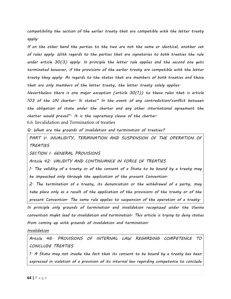*compatibility the section of the earlier treaty that are compatible with the latter treaty apply.* 

*If on the other hand the parties to the two are not the same or identical, another set of rules apply. With regards to the parties that are signatories to both treaties the rule under article 30(3) apply. In principle the latter rule applies and the second one gets terminated however, if the provisions of the earlier treaty are compatible with the latter treaty they apply. As regards to the states that are members of both treaties and those that are only members of the latter treaty, the latter treaty solely applies.*

*Nevertheless there is one major exception (article 30(1)) to these rules that is article 103 of the UN charter. It states" In the event of any contradiction/conflict between the obligation of state under the charter and any other international agreement the charter would prevail". It is the supremacy clause of the charter.*

6.6. Invalidation and Termination of treaties

*Q. What are the grounds of invalidation and termination of treaties?*

PART V<sup>.</sup> INVALIDITY, TERMINATION AND SUSPENSION OF THE OPERATION OF *TREATIES*

*SECTION I. GENERAL PROVISIONS*

*Article 42. VALIDITY AND CONTINUANCE IN FORCE OF TREATIES*

*1. The validity of a treaty or of the consent of a State to be bound by a treaty may be impeached only through the application of the present Convention.*

*2. The termination of a treaty, its denunciation or the withdrawal of a party, may take place only as a result of the application of the provisions of the treaty or of the present Convention. The same rule applies to suspension of the operation of a treaty.*

*In principle only grounds of termination and invalidation recognized under the Vienna convention might lead to invalidation and termination. This article is trying to deny states from coming up with grounds of invalidation and termination.*

*Invalidation*

*Article 46. PROVISIONS OF INTERNAL LAW REGARDING COMPETENCE TO CONCLUDE TREATIES*

*1. A State may not invoke the fact that its consent to be bound by a treaty has been expressed in violation of a provision of its internal law regarding competence to conclude*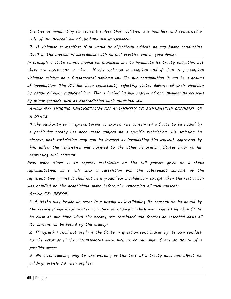*treaties as invalidating its consent unless that violation was manifest and concerned a rule of its internal law of fundamental importance.*

*2. A violation is manifest if it would be objectively evident to any State conducting itself in the matter in accordance with normal practice and in good faith.*

*In principle a state cannot invoke its municipal law to invalidate its treaty obligation but there are exceptions to this. If the violation is manifest and if that very manifest violation relates to a fundamental national law like the constitution it can be a ground of invalidation. The ICJ has been consistently rejecting states defense of their violation by virtue of their municipal law. This is backed by the motive of not invalidating treaties by minor grounds such as contradiction with municipal law.*

*Article 47. SPECIFIC RESTRICTIONS ON AUTHORITY TO EXPRESSTHE CONSENT OF A STATE*

*If the authority of a representative to express the consent of a State to be bound by a particular treaty has been made subject to a specific restriction, his omission to observe that restriction may not be invoked as invalidating the consent expressed by him unless the restriction was notified to the other negotiating States prior to his expressing such consent.*

*Even when there is an express restriction on the full powers given to a state representative, as a rule such a restriction and the subsequent consent of the representative against it shall not be a ground for invalidation. Except when the restriction was notified to the negotiating state before the expression of such consent.*

*Article 48. ERROR*

*1. A State may invoke an error in a treaty as invalidating its consent to be bound by the treaty if the error relates to a fact or situation which was assumed by that State to exist at the time when the treaty was concluded and formed an essential basis of its consent to be bound by the treaty.*

*2. Paragraph 1 shall not apply if the State in question contributed by its own conduct to the error or if the circumstances were such as to put that State on notice of a possible error.*

*3. An error relating only to the wording of the text of a treaty does not affect its validity; article 79 then applies.*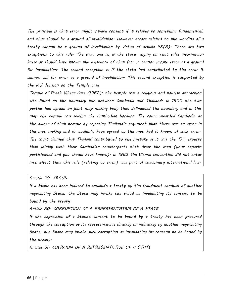*The principle is that error might vitiate consent if it relates to something fundamental, and thus should be a ground of invalidation. However errors related to the wording of a treaty cannot be a ground of invalidation by virtue of article 48(3). There are two exceptions to this rule. The first one is, if the state relying on that false information knew or should have known the existence of that fact it cannot invoke error as a ground for invalidation. The second exception is if the state had contributed to the error it cannot call for error as a ground of invalidation. This second exception is supported by the ICJ decision on the Temple case.*

*Temple of Preah Vihear Case (1962): the temple was a religious and tourist attraction site found on the boundary line between Cambodia and Thailand. In 1900 the two parties had agreed on joint map making body that delineated the boundary and in this map the temple was within the Cambodian borders. The court awarded Cambodia as the owner of that temple by rejecting Thailand's argument that there was an error in the map making and it wouldn't have agreed to the map had it known of such error. The court claimed that Thailand contributed to the mistake as it was the Thai experts that jointly with their Cambodian counterparts that drew the map (your experts participated and you should have known). In 1962 the Vienna convention did not enter into effect thus this rule (relating to error) was part of customary international law.* 

*Article 49. FRAUD*

*If a State has been induced to conclude a treaty by the fraudulent conduct of another negotiating State, the State may invoke the fraud as invalidating its consent to be bound by the treaty.*

*Article 50. CORRUPTION OF A REPRESENTATIVE OF A STATE*

*If the expression of a State's consent to be bound by a treaty has been procured through the corruption of its representative directly or indirectly by another negotiating State, the State may invoke such corruption as invalidating its consent to be bound by the treaty.*

*Article 51. COERCION OF A REPRESENTATIVE OF A STATE*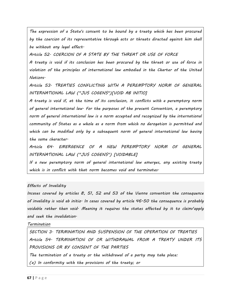*The expression of a State's consent to be bound by a treaty which has been procured by the coercion of its representative through acts or threats directed against him shall be without any legal effect.*

*Article 52. COERCION OF A STATE BY THE THREAT OR USE OF FORCE*

*A treaty is void if its conclusion has been procured by the threat or use of force in violation of the principles of international law embodied in the Charter of the United Nations.*

*Article 53. TREATIES CONFLICTING WITH A PEREMPTORY NORM OF GENERAL INTERNATIONAL LAW ("JUS COGENS")[VOID AB INITIO]*

*A treaty is void if, at the time of its conclusion, it conflicts with a peremptory norm of general international law. For the purposes of the present Convention, a peremptory norm of general international law is a norm accepted and recognized by the international community of States as a whole as a norm from which no derogation is permitted and which can be modified only by a subsequent norm of general international law having the same character.*

*Article 64. EMERGENCE OF A NEW PEREMPTORY NORM OF GENERAL INTERNATIONAL LAW ("JUS COGENS") [VOIDABLE]*

*If a new peremptory norm of general international law emerges, any existing treaty which is in conflict with that norm becomes void and terminates.*

### *Effects of Invalidity*

*Incases covered by articles 8, 51, 52 and 53 of the Vienna convention the consequence of invalidity is void ab initio. In cases covered by article 46-50 the consequence is probably voidable rather than void. Meaning it requires the states affected by it to claim/apply and seek the invalidation.*

*Termination*

*SECTION 3. TERMINATION AND SUSPENSION OF THE OPERATION OF TREATIES Article 54. TERMINATION OF OR WITHDRAWAL FROM A TREATY UNDER ITS PROVISIONS OR BY CONSENT OF THE PARTIES*

*The termination of a treaty or the withdrawal of a party may take place:*

*(a) In conformity with the provisions of the treaty; or*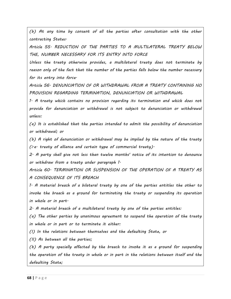*(b) At any time by consent of all the parties after consultation with the other contracting States.*

*Article 55. REDUCTION OF THE PARTIES TO A MULTILATERAL TREATY BELOW THE, NUMBER NECESSARY FOR ITS ENTRY INTO FORCE*

*Unless the treaty otherwise provides, a multilateral treaty does not terminate by reason only of the fact that the number of the parties falls below the number necessary for its entry into force.*

*Article 56. DENUNCIATION OF OR WITHDRAWAL FROM A TREATY CONTAINING NO PROVISION REGARDING TERMINATION, DENUNCIATION OR WITHDRAWAL*

*1. A treaty which contains no provision regarding its termination and which does not provide for denunciation or withdrawal is not subject to denunciation or withdrawal unless:*

*(a) It is established that the parties intended to admit the possibility of denunciation or withdrawal; or*

*(b) A right of denunciation or withdrawal may be implied by the nature of the treaty (i.e. treaty of alliance and certain type of commercial treaty).*

*2. A party shall give not less than twelve months' notice of its intention to denounce or withdraw from a treaty under paragraph 1.*

*Article 60. TERMINATION OR SUSPENSION OF THE OPERATION OF A TREATY AS A CONSEQUENCE OF ITS BREACH*

*1. A material breach of a bilateral treaty by one of the parties entitles the other to invoke the breach as a ground for terminating the treaty or suspending its operation in whole or in part.*

*2. A material breach of a multilateral treaty by one of the parties entitles:*

*(a) The other parties by unanimous agreement to suspend the operation of the treaty in whole or in part or to terminate it either:*

*(I) In the relations between themselves and the defaulting State, or*

*(II) As between all the parties;*

*(b) A party specially affected by the breach to invoke it as a ground for suspending the operation of the treaty in whole or in part in the relations between itself and the defaulting State;*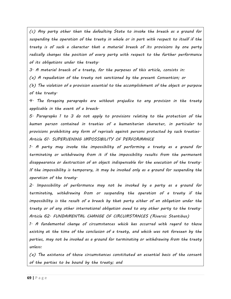*(c) Any party other than the defaulting State to invoke the breach as a ground for suspending the operation of the treaty in whole or in part with respect to itself if the treaty is of such a character that a material breach of its provisions by one party radically changes the position of every party with respect to the further performance of its obligations under the treaty.*

*3. A material breach of a treaty, for the purposes of this article, consists in:*

*(a) A repudiation of the treaty not sanctioned by the present Convention; or*

*(b) The violation of a provision essential to the accomplishment of the object or purpose of the treaty.*

*4. The foregoing paragraphs are without prejudice to any provision in the treaty applicable in the event of a breach.*

*5. Paragraphs 1 to 3 do not apply to provisions relating to the protection of the human person contained in treaties of a humanitarian character, in particular to provisions prohibiting any form of reprisals against persons protected by such treaties. Article 61. SUPERVENING IMPOSSIBILITY OF PERFORMANCE*

*1. A party may invoke the impossibility of performing a treaty as a ground for terminating or withdrawing from it if the impossibility results from the permanent disappearance or destruction of an object indispensable for the execution of the treaty. If the impossibility is temporary, it may be invoked only as a ground for suspending the operation of the treaty.*

*2. Impossibility of performance may not be invoked by a party as a ground for terminating, withdrawing from or suspending the operation of a treaty if the impossibility is the result of a breach by that party either of an obligation under the treaty or of any other international obligation owed to any other party to the treaty. Article 62. FUNDAMENTAL CHANGE OF CIRCUMSTANCES (Riversic Stantibus)*

*1. A fundamental change of circumstances which has occurred with regard to those existing at the time of the conclusion of a treaty, and which was not foreseen by the parties, may not be invoked as a ground for terminating or withdrawing from the treaty unless:*

*(a) The existence of those circumstances constituted an essential basis of the consent of the parties to be bound by the treaty; and*